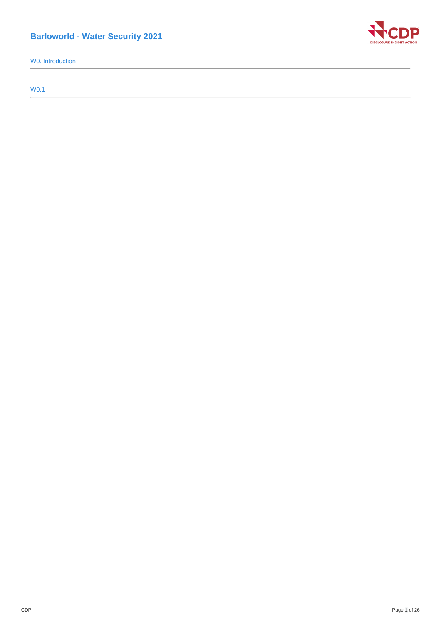# **Barloworld - Water Security 2021**

W0. Introduction

W0.1

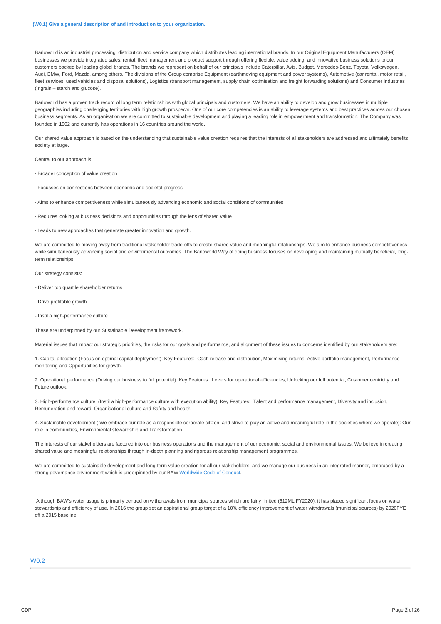Barloworld is an industrial processing, distribution and service company which distributes leading international brands. In our Original Equipment Manufacturers (OEM) businesses we provide integrated sales, rental, fleet management and product support through offering flexible, value adding, and innovative business solutions to our customers backed by leading global brands. The brands we represent on behalf of our principals include Caterpillar, Avis, Budget, Mercedes-Benz, Toyota, Volkswagen, Audi, BMW, Ford, Mazda, among others. The divisions of the Group comprise Equipment (earthmoving equipment and power systems), Automotive (car rental, motor retail, fleet services, used vehicles and disposal solutions), Logistics (transport management, supply chain optimisation and freight forwarding solutions) and Consumer Industries (Ingrain – starch and glucose).

Barloworld has a proven track record of long term relationships with global principals and customers. We have an ability to develop and grow businesses in multiple geographies including challenging territories with high growth prospects. One of our core competencies is an ability to leverage systems and best practices across our chosen business segments. As an organisation we are committed to sustainable development and playing a leading role in empowerment and transformation. The Company was founded in 1902 and currently has operations in 16 countries around the world.

Our shared value approach is based on the understanding that sustainable value creation requires that the interests of all stakeholders are addressed and ultimately benefits society at large.

Central to our approach is:

· Broader conception of value creation

- · Focusses on connections between economic and societal progress
- · Aims to enhance competitiveness while simultaneously advancing economic and social conditions of communities
- · Requires looking at business decisions and opportunities through the lens of shared value
- · Leads to new approaches that generate greater innovation and growth.

We are committed to moving away from traditional stakeholder trade-offs to create shared value and meaningful relationships. We aim to enhance business competitiveness while simultaneously advancing social and environmental outcomes. The Barloworld Way of doing business focuses on developing and maintaining mutually beneficial, longterm relationships.

Our strategy consists:

- Deliver top quartile shareholder returns
- Drive profitable growth
- Instil a high-performance culture

These are underpinned by our Sustainable Development framework.

Material issues that impact our strategic priorities, the risks for our goals and performance, and alignment of these issues to concerns identified by our stakeholders are:

1. Capital allocation (Focus on optimal capital deployment): Key Features: Cash release and distribution, Maximising returns, Active portfolio management, Performance monitoring and Opportunities for growth.

2. Operational performance (Driving our business to full potential): Key Features: Levers for operational efficiencies, Unlocking our full potential, Customer centricity and Future outlook.

3. High-performance culture (Instil a high-performance culture with execution ability): Key Features: Talent and performance management, Diversity and inclusion, Remuneration and reward, Organisational culture and Safety and health

4. Sustainable development ( We embrace our role as a responsible corporate citizen, and strive to play an active and meaningful role in the societies where we operate): Our role in communities, Environmental stewardship and Transformation

The interests of our stakeholders are factored into our business operations and the management of our economic, social and environmental issues. We believe in creating shared value and meaningful relationships through in-depth planning and rigorous relationship management programmes.

We are committed to sustainable development and long-term value creation for all our stakeholders, and we manage our business in an integrated manner, embraced by a strong governance environment which is underpinned by our BAW [Worldwide](https://www.barloworld.com/sustainability/worldwide-code/index.php) Code of Conduct.

Although BAW's water usage is primarily centred on withdrawals from municipal sources which are fairly limited (612ML FY2020), it has placed significant focus on water stewardship and efficiency of use. In 2016 the group set an aspirational group target of a 10% efficiency improvement of water withdrawals (municipal sources) by 2020FYE off a 2015 baseline.

# W0.2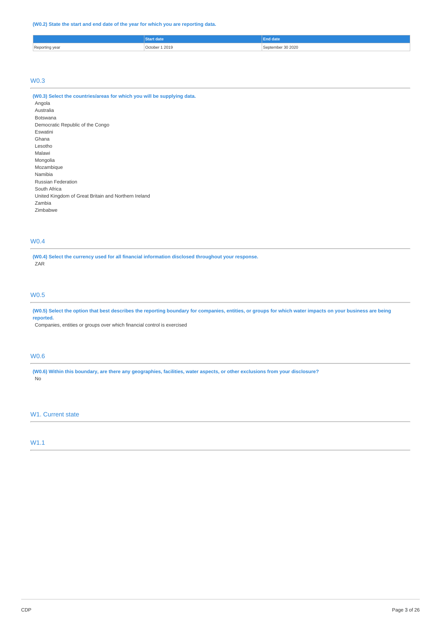### **(W0.2) State the start and end date of the year for which you are reporting data.**

|                         |                   | <u>idate</u>             |
|-------------------------|-------------------|--------------------------|
| Reporting year<br>- - - | 1 2019<br>October | 30 20 20<br>:an<br>emher |

# W0.3

| (W0.3) Select the countries/areas for which you will be supplying data. |
|-------------------------------------------------------------------------|
| Angola                                                                  |
| Australia                                                               |
| <b>Botswana</b>                                                         |
| Democratic Republic of the Congo                                        |
| Eswatini                                                                |
| Ghana                                                                   |
| Lesotho                                                                 |
| Malawi                                                                  |
| Mongolia                                                                |
| Mozambique                                                              |
| Namibia                                                                 |
| <b>Russian Federation</b>                                               |
| South Africa                                                            |
| United Kingdom of Great Britain and Northern Ireland                    |
| Zambia                                                                  |
| Zimbabwe                                                                |

# W0.4

**(W0.4) Select the currency used for all financial information disclosed throughout your response.** ZAR

## W0.5

(W0.5) Select the option that best describes the reporting boundary for companies, entities, or groups for which water impacts on your business are being **reported.**

Companies, entities or groups over which financial control is exercised

# W0.6

(W0.6) Within this boundary, are there any geographies, facilities, water aspects, or other exclusions from your disclosure? No

# W1. Current state

W1.1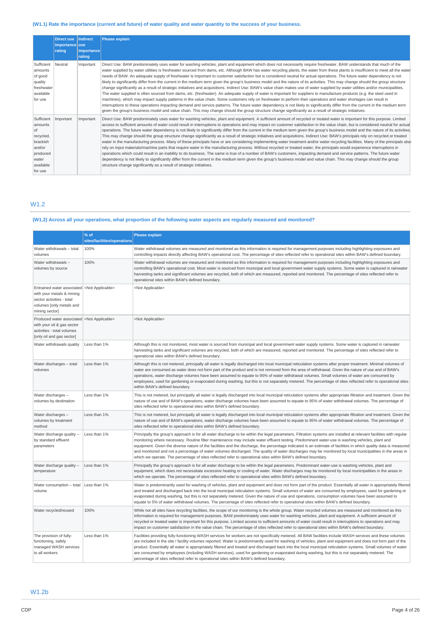# (W1.1) Rate the importance (current and future) of water quality and water quantity to the success of your business.

|                                                                                                             | <b>Direct use</b><br>importance use<br>rating | Indirect<br><b>limportancel</b><br>rating | <b>Please explain</b>                                                                                                                                                                                                                                                                                                                                                                                                                                                                                                                                                                                                                                                                                                                                                                                                                                                                                                                                                                                                                                                                                                                                                                                                                                                                                                                                                                                                                                                                                                                                                                                     |
|-------------------------------------------------------------------------------------------------------------|-----------------------------------------------|-------------------------------------------|-----------------------------------------------------------------------------------------------------------------------------------------------------------------------------------------------------------------------------------------------------------------------------------------------------------------------------------------------------------------------------------------------------------------------------------------------------------------------------------------------------------------------------------------------------------------------------------------------------------------------------------------------------------------------------------------------------------------------------------------------------------------------------------------------------------------------------------------------------------------------------------------------------------------------------------------------------------------------------------------------------------------------------------------------------------------------------------------------------------------------------------------------------------------------------------------------------------------------------------------------------------------------------------------------------------------------------------------------------------------------------------------------------------------------------------------------------------------------------------------------------------------------------------------------------------------------------------------------------------|
| Sufficient<br>amounts<br>of good<br>quality<br>freshwater<br>available<br>for use                           | Neutral                                       | Important                                 | Direct Use: BAW predominately uses water for washing vehicles, plant and equipment which does not necessarily require freshwater. BAW understands that much of the<br>water supplied by water utilities is freshwater sourced from dams, etc. Although BAW has water recycling plants, the water from these plants is insufficient to meet all the water<br>needs of BAW. An adequate supply of freshwater is important to customer satisfaction but is considered neutral for actual operations. The future water dependency is not<br>likely to significantly differ from the current in the medium term given the group's business model and the nature of its activities. This may change should the group structure<br>change significantly as a result of strategic initiatives and acquisitions. Indirect Use: BAW's value chain makes use of water supplied by water utilities and/or municipalities.<br>The water supplied is often sourced from dams, etc. (freshwater). An adequate supply of water is important for suppliers to manufacture products (e.g. the steel used in<br>machines), which may impact supply patterns in the value chain. Some customers rely on freshwater to perform their operations and water shortages can result in<br>interruptions to these operations impacting demand and service patterns. The future water dependency is not likely to significantly differ from the current in the medium term<br>given the group's business model and value chain. This may change should the group structure change significantly as a result of strategic initiatives. |
| Sufficient<br>amounts<br>of<br>recycled,<br>brackish<br>and/or<br>produced<br>water<br>available<br>for use | Important                                     | Important                                 | Direct Use: BAW predominately uses water for washing vehicles, plant and equipment. A sufficient amount of recycled or treated water is important for this purpose. Limited<br>access to sufficient amounts of water could result in interruptions to operations and may impact on customer satisfaction in the value chain, but is considered neutral for actual<br>operations. The future water dependency is not likely to significantly differ from the current in the medium term given the group's business model and the nature of its activities.<br>This may change should the group structure change significantly as a result of strategic initiatives and acquisitions. Indirect Use: BAW's principals rely on recycled or treated<br>water in the manufacturing process. Many of these principals have or are considering implementing water treatment and/or water recycling facilities. Many of the principals also<br>rely on input materials/machine parts that require water in the manufacturing process. Without recycled or treated water, the principals would experience interruptions in<br>operations which could result in an inability to do business. The same is true of a number of BAW's customers, impacting demand and service patterns. The future water<br>dependency is not likely to significantly differ from the current in the medium term given the group's business model and value chain. This may change should the group<br>structure change significantly as a result of strategic initiatives.                                                             |

# W1.2

# (W1.2) Across all your operations, what proportion of the following water aspects are regularly measured and monitored?

|                                                                                                                                                                      | % of<br>sites/facilities/operations | <b>Please explain</b>                                                                                                                                                                                                                                                                                                                                                                                                                                                                                                                                                                                                                                                                                                                                                   |
|----------------------------------------------------------------------------------------------------------------------------------------------------------------------|-------------------------------------|-------------------------------------------------------------------------------------------------------------------------------------------------------------------------------------------------------------------------------------------------------------------------------------------------------------------------------------------------------------------------------------------------------------------------------------------------------------------------------------------------------------------------------------------------------------------------------------------------------------------------------------------------------------------------------------------------------------------------------------------------------------------------|
| Water withdrawals - total<br>volumes                                                                                                                                 | 100%                                | Water withdrawal volumes are measured and monitored as this information is required for management purposes including highlighting exposures and<br>controlling impacts directly affecting BAW's operational cost. The percentage of sites reflected refer to operational sites within BAW's defined boundary.                                                                                                                                                                                                                                                                                                                                                                                                                                                          |
| Water withdrawals -<br>volumes by source                                                                                                                             | 100%                                | Water withdrawal volumes are measured and monitored as this information is required for management purposes including highlighting exposures and<br>controlling BAW's operational cost. Most water is sourced from municipal and local government water supply systems. Some water is captured in rainwater<br>harvesting tanks and significant volumes are recycled, both of which are measured, reported and monitored. The percentage of sites reflected refer to<br>operational sites within BAW's defined boundary.                                                                                                                                                                                                                                                |
| Entrained water associated <not applicable=""><br/>with your metals &amp; mining<br/>sector activities - total<br/>volumes [only metals and<br/>mining sector]</not> |                                     | <not applicable=""></not>                                                                                                                                                                                                                                                                                                                                                                                                                                                                                                                                                                                                                                                                                                                                               |
| Produced water associated <not applicable=""><br/>with your oil &amp; gas sector<br/>activities - total volumes<br/>[only oil and gas sector]</not>                  |                                     | <not applicable=""></not>                                                                                                                                                                                                                                                                                                                                                                                                                                                                                                                                                                                                                                                                                                                                               |
| Water withdrawals quality                                                                                                                                            | Less than 1%                        | Although this is not monitored, most water is sourced from municipal and local government water supply systems. Some water is captured in rainwater<br>harvesting tanks and significant volumes are recycled, both of which are measured, reported and monitored. The percentage of sites reflected refer to<br>operational sites within BAW's defined boundary.                                                                                                                                                                                                                                                                                                                                                                                                        |
| Water discharges - total<br>volumes                                                                                                                                  | Less than 1%                        | Although this is not metered, principally all water is legally discharged into local municipal reticulation systems after proper treatment. Minimal volumes of<br>water are consumed as water does not form part of the product and is not removed from the area of withdrawal. Given the nature of use and of BAW's<br>operations, water discharge volumes have been assumed to equate to 95% of water withdrawal volumes. Small volumes of water are consumed by<br>employees, used for gardening or evaporated during washing, but this is not separately metered. The percentage of sites reflected refer to operational sites<br>within BAW's defined boundary.                                                                                                    |
| Water discharges -<br>volumes by destination                                                                                                                         | Less than 1%                        | This is not metered, but principally all water is legally discharged into local municipal reticulation systems after appropriate filtration and treatment. Given the<br>nature of use and of BAW's operations, water discharge volumes have been assumed to equate to 95% of water withdrawal volumes. The percentage of<br>sites reflected refer to operational sites within BAW's defined boundary.                                                                                                                                                                                                                                                                                                                                                                   |
| Water discharges -<br>volumes by treatment<br>method                                                                                                                 | Less than 1%                        | This is not metered, but principally all water is legally discharged into local municipal reticulation systems after appropriate filtration and treatment. Given the<br>nature of use and of BAW's operations, water discharge volumes have been assumed to equate to 95% of water withdrawal volumes. The percentage of<br>sites reflected refer to operational sites within BAW's defined boundary.                                                                                                                                                                                                                                                                                                                                                                   |
| Water discharge quality -<br>by standard effluent<br>parameters                                                                                                      | Less than 1%                        | Principally the group's approach is for all water discharge to be within the legal parameters. Filtration systems are installed at relevant facilities with regular<br>monitoring where necessary. Routine filter maintenance may include water effluent testing. Predominant water-use is washing vehicles, plant and<br>equipment. Given the diverse nature of the facilities and the discharge, the percentage indicated is an estimate of facilities in which quality data is measured<br>and monitored and not a percentage of water volumes discharged. The quality of water discharges may be monitored by local municipalities in the areas in<br>which we operate. The percentage of sites reflected refer to operational sites within BAW's defined boundary. |
| Water discharge quality -<br>temperature                                                                                                                             | Less than 1%                        | Principally the group's approach is for all water discharge to be within the legal parameters. Predominant water-use is washing vehicles, plant and<br>equipment, which does not necessitate excessive heating or cooling of water. Water discharges may be monitored by local municipalities in the areas in<br>which we operate. The percentage of sites reflected refer to operational sites within BAW's defined boundary.                                                                                                                                                                                                                                                                                                                                          |
| Water consumption – total<br>volume                                                                                                                                  | Less than 1%                        | Water is predominantly used for washing of vehicles, plant and equipment and does not form part of the product. Essentially all water is appropriately filtered<br>and treated and discharged back into the local municipal reticulation systems. Small volumes of water are consumed by employees, used for gardening or<br>evaporated during washing, but this is not separately metered. Given the nature of use and operations, consumption volumes have been assumed to<br>equate to 5% of water withdrawal volumes. The percentage of sites reflected refer to operational sites within BAW's defined boundary.                                                                                                                                                   |
| Water recycled/reused                                                                                                                                                | 100%                                | While not all sites have recycling facilities, the scope of our monitoring is the whole group. Water recycled volumes are measured and monitored as this<br>information is required for management purposes. BAW predominately uses water for washing vehicles, plant and equipment. A sufficient amount of<br>recycled or treated water is important for this purpose. Limited access to sufficient amounts of water could result in interruptions to operations and may<br>impact on customer satisfaction in the value chain. The percentage of sites reflected refer to operational sites within BAW's defined boundary.                                                                                                                                            |
| The provision of fully-<br>functioning, safely<br>managed WASH services<br>to all workers                                                                            | Less than 1%                        | Facilities providing fully-functioning WASH services for workers are not specifically metered. All BAW facilities include WASH services and these volumes<br>are included in the site / facility volumes reported. Water is predominantly used for washing of vehicles, plant and equipment and does not form part of the<br>product. Essentially all water is appropriately filtered and treated and discharged back into the local municipal reticulation systems. Small volumes of water<br>are consumed by employees (including WASH services), used for gardening or evaporated during washing, but this is not separately metered. The<br>percentage of sites reflected refer to operational sites within BAW's defined boundary.                                 |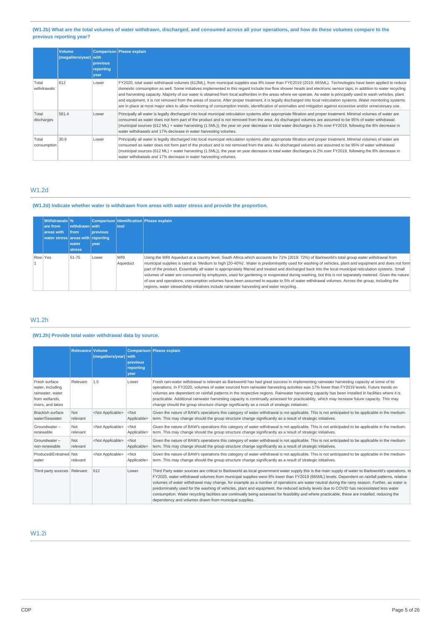## (W1.2b) What are the total volumes of water withdrawn, discharged, and consumed across all your operations, and how do these volumes compare to the **previous reporting year?**

|                      | <b>Volume</b><br>(megaliters/year) with | previous<br>reporting<br>year | <b>Comparison Please explain</b>                                                                                                                                                                                                                                                                                                                                                                                                                                                                                                                                                                                                                                                                                                                                                                                                                      |
|----------------------|-----------------------------------------|-------------------------------|-------------------------------------------------------------------------------------------------------------------------------------------------------------------------------------------------------------------------------------------------------------------------------------------------------------------------------------------------------------------------------------------------------------------------------------------------------------------------------------------------------------------------------------------------------------------------------------------------------------------------------------------------------------------------------------------------------------------------------------------------------------------------------------------------------------------------------------------------------|
| Total<br>withdrawals | 612                                     | Lower                         | FY2020, total water withdrawal volumes (612ML), from municipal supplies was 8% lower than FYE2019 (2019: 665ML). Technologies have been applied to reduce<br>domestic consumption as well. Some initiatives implemented in this regard include low flow shower heads and electronic sensor taps, in addition to water recycling<br>and harvesting capacity. Majority of our water is obtained from local authorities in the areas where we operate. As water is principally used to wash vehicles, plant<br>and equipment, it is not removed from the areas of source. After proper treatment, it is legally discharged into local reticulation systems. Water monitoring systems<br>are in place at most major sites to allow monitoring of consumption trends, identification of anomalies and mitigation against excessive and/or unnecessary use. |
| Total<br>discharges  | 581.4                                   | Lower                         | Principally all water is legally discharged into local municipal reticulation systems after appropriate filtration and proper treatment. Minimal volumes of water are<br>consumed as water does not form part of the product and is not removed from the area. As discharged volumes are assumed to be 95% of water withdrawal<br>(municipal sources (612 ML) + water harvesting (1.5ML)), the year on year decrease in total water discharges is 2% over FY2019, following the 8% decrease in<br>water withdrawals and 17% decrease in water harvesting volumes.                                                                                                                                                                                                                                                                                     |
| Total<br>consumption | 30.6                                    | Lower                         | Principally all water is legally discharged into local municipal reticulation systems after appropriate filtration and proper treatment. Minimal volumes of water are<br>consumed as water does not form part of the product and is not removed from the area. As discharged volumes are assumed to be 95% of water withdrawal<br>(municipal sources (612 ML) + water harvesting (1.5ML)), the year on year decrease in total water discharges is 2% over FY2019, following the 8% decrease in<br>water withdrawals and 17% decrease in water harvesting volumes.                                                                                                                                                                                                                                                                                     |

# W1.2d

### **(W1.2d) Indicate whether water is withdrawn from areas with water stress and provide the proportion.**

|         | Withdrawals %                     |                |                 |                 | Comparison Identification Please explain                                                                                                                                                                                                                                                                                                                                                                                                                                                                                                                                                                                                                                                                                                                                                                                                                        |
|---------|-----------------------------------|----------------|-----------------|-----------------|-----------------------------------------------------------------------------------------------------------------------------------------------------------------------------------------------------------------------------------------------------------------------------------------------------------------------------------------------------------------------------------------------------------------------------------------------------------------------------------------------------------------------------------------------------------------------------------------------------------------------------------------------------------------------------------------------------------------------------------------------------------------------------------------------------------------------------------------------------------------|
|         | are from                          | withdrawn with |                 | tool            |                                                                                                                                                                                                                                                                                                                                                                                                                                                                                                                                                                                                                                                                                                                                                                                                                                                                 |
|         | areas with                        | <b>Ifrom</b>   | <b>previous</b> |                 |                                                                                                                                                                                                                                                                                                                                                                                                                                                                                                                                                                                                                                                                                                                                                                                                                                                                 |
|         | water stress areas with reporting |                |                 |                 |                                                                                                                                                                                                                                                                                                                                                                                                                                                                                                                                                                                                                                                                                                                                                                                                                                                                 |
|         |                                   | water          | <b>vear</b>     |                 |                                                                                                                                                                                                                                                                                                                                                                                                                                                                                                                                                                                                                                                                                                                                                                                                                                                                 |
|         |                                   | <b>Istress</b> |                 |                 |                                                                                                                                                                                                                                                                                                                                                                                                                                                                                                                                                                                                                                                                                                                                                                                                                                                                 |
| Row Yes |                                   | 51-75          | Lower           | WRI<br>Aqueduct | Using the WRI Aqueduct at a country level, South Africa which accounts for 71% (2019: 72%) of Barloworld's total group water withdrawal from<br>municipal supplies is rated as 'Medium to high (20-40%)'. Water is predominantly used for washing of vehicles, plant and equipment and does not form<br>part of the product. Essentially all water is appropriately filtered and treated and discharged back into the local municipal reticulation systems. Small<br>volumes of water are consumed by employees, used for gardening or evaporated during washing, but this is not separately metered. Given the nature<br>of use and operations, consumption volumes have been assumed to equate to 5% of water withdrawal volumes. Across the group, including the<br>regions, water stewardship initiatives include rainwater harvesting and water recycling. |

# W1.2h

# **(W1.2h) Provide total water withdrawal data by source.**

|                                                                                              | <b>Relevance Volume</b> | (megaliters/year)         | <b>with</b><br>previous<br>reportina<br>vear | Comparison Please explain                                                                                                                                                                                                                                                                                                                                                                                                                                                                                                                                                                                                                                                                                                                                                                                      |
|----------------------------------------------------------------------------------------------|-------------------------|---------------------------|----------------------------------------------|----------------------------------------------------------------------------------------------------------------------------------------------------------------------------------------------------------------------------------------------------------------------------------------------------------------------------------------------------------------------------------------------------------------------------------------------------------------------------------------------------------------------------------------------------------------------------------------------------------------------------------------------------------------------------------------------------------------------------------------------------------------------------------------------------------------|
| Fresh surface<br>water, including<br>rainwater, water<br>from wetlands.<br>rivers, and lakes | Relevant                | 1.5                       | Lower                                        | Fresh rain-water withdrawal is relevant as Barloworld has had great success in implementing rainwater harvesting capacity at some of its<br>operations. In FY2020, volumes of water sourced from rainwater harvesting activities was 17% lower than FY2019 levels. Future trends on<br>volumes are dependent on rainfall patterns in the respective regions. Rainwater harvesting capacity has been installed in facilities where it is<br>practicable. Additional rainwater harvesting capacity is continually assessed for practicability, which may increase future capacity. This may<br>change should the group structure change significantly as a result of strategic initiatives.                                                                                                                      |
| <b>Brackish surface</b><br>water/Seawater                                                    | Not<br>relevant         | <not applicable=""></not> | $<$ Not<br>Applicable>                       | Given the nature of BAW's operations this category of water withdrawal is not applicable. This is not anticipated to be applicable in the medium-<br>term. This may change should the group structure change significantly as a result of strategic initiatives.                                                                                                                                                                                                                                                                                                                                                                                                                                                                                                                                               |
| Groundwater -<br>renewable                                                                   | Not<br>relevant         | <not applicable=""></not> | $<$ Not<br>Applicable>                       | Given the nature of BAW's operations this category of water withdrawal is not applicable. This is not anticipated to be applicable in the medium-<br>term. This may change should the group structure change significantly as a result of strategic initiatives.                                                                                                                                                                                                                                                                                                                                                                                                                                                                                                                                               |
| Groundwater-<br>non-renewable                                                                | Not<br>relevant         | <not applicable=""></not> | $<$ Not<br>Applicable>                       | Given the nature of BAW's operations this category of water withdrawal is not applicable. This is not anticipated to be applicable in the medium-<br>term. This may change should the group structure change significantly as a result of strategic initiatives.                                                                                                                                                                                                                                                                                                                                                                                                                                                                                                                                               |
| Produced/Entrained Not<br>water                                                              | relevant                | <not applicable=""></not> | $<$ Not<br>Applicable>                       | Given the nature of BAW's operations this category of water withdrawal is not applicable. This is not anticipated to be applicable in the medium-<br>term. This may change should the group structure change significantly as a result of strategic initiatives.                                                                                                                                                                                                                                                                                                                                                                                                                                                                                                                                               |
| Third party sources Relevant                                                                 |                         | 612                       | Lower                                        | Third Party water sources are critical to Barloworld as local government water supply this is the main supply of water to Barloworld's operations. In<br>FY2020, water withdrawal volumes from municipal supplies were 8% lower than FY2019 (665ML) levels. Dependent on rainfall patterns, relative<br>volumes of water withdrawal may change, for example as a number of operations are water neutral during the rainy season. Further, as water is<br>predominately used for the washing of vehicles, plant and equipment, the reduced activity levels due to COVID has necessitated less water<br>consumption. Water recycling facilities are continually being assessed for feasibility and where practicable, these are installed, reducing the<br>dependency and volumes drawn from municipal supplies. |

# W1.2i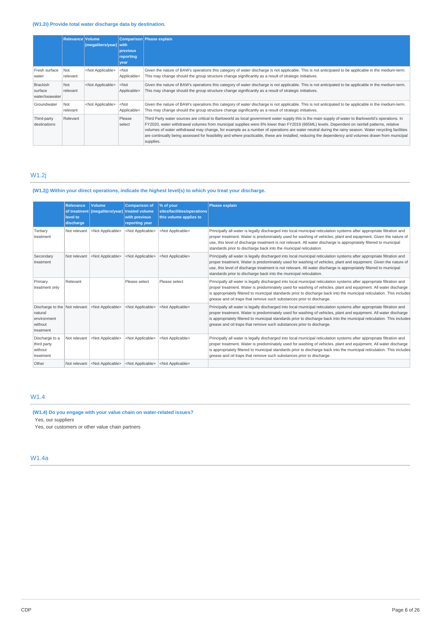# **(W1.2i) Provide total water discharge data by destination.**

|                                              | Relevance Volume | (megaliters/year)         | with<br>previous       | Comparison Please explain                                                                                                                                                                                                                                                                                                                                                                                                                                                                                                                                                                                                       |
|----------------------------------------------|------------------|---------------------------|------------------------|---------------------------------------------------------------------------------------------------------------------------------------------------------------------------------------------------------------------------------------------------------------------------------------------------------------------------------------------------------------------------------------------------------------------------------------------------------------------------------------------------------------------------------------------------------------------------------------------------------------------------------|
|                                              |                  |                           | reporting              |                                                                                                                                                                                                                                                                                                                                                                                                                                                                                                                                                                                                                                 |
|                                              |                  |                           | year                   |                                                                                                                                                                                                                                                                                                                                                                                                                                                                                                                                                                                                                                 |
| Fresh surface<br>water                       | Not<br>relevant  | <not applicable=""></not> | $<$ Not<br>Applicable> | Given the nature of BAW's operations this category of water discharge is not applicable. This is not anticipated to be applicable in the medium-term.<br>This may change should the group structure change significantly as a result of strategic initiatives.                                                                                                                                                                                                                                                                                                                                                                  |
| <b>Brackish</b><br>surface<br>water/seawater | Not<br>relevant  | <not applicable=""></not> | $<$ Not<br>Applicable> | Given the nature of BAW's operations this category of water discharge is not applicable. This is not anticipated to be applicable in the medium-term.<br>This may change should the group structure change significantly as a result of strategic initiatives.                                                                                                                                                                                                                                                                                                                                                                  |
| Groundwater                                  | Not<br>relevant  | <not applicable=""></not> | $<$ Not<br>Applicable> | Given the nature of BAW's operations this category of water discharge is not applicable. This is not anticipated to be applicable in the medium-term.<br>This may change should the group structure change significantly as a result of strategic initiatives.                                                                                                                                                                                                                                                                                                                                                                  |
| Third-party<br>destinations                  | Relevant         |                           | Please<br>select       | Third Party water sources are critical to Barloworld as local government water supply this is the main supply of water to Barloworld's operations. In<br>FY2020, water withdrawal volumes from municipal supplies were 8% lower than FY2019 (665ML) levels. Dependent on rainfall patterns, relative<br>volumes of water withdrawal may change, for example as a number of operations are water neutral during the rainy season. Water recycling facilities<br>are continually being assessed for feasibility and where practicable, these are installed, reducing the dependency and volumes drawn from municipal<br>supplies. |

# W1.2j

# **(W1.2j) Within your direct operations, indicate the highest level(s) to which you treat your discharge.**

|                                                                                 | Relevance<br>of treatment<br>level to<br>discharge | <b>Volume</b><br>(megaliters/year) | <b>Comparison of</b><br>treated volume<br>with previous<br>reporting year | % of your<br>sites/facilities/operations<br>this volume applies to | <b>Please explain</b>                                                                                                                                                                                                                                                                                                                                                                                                                        |
|---------------------------------------------------------------------------------|----------------------------------------------------|------------------------------------|---------------------------------------------------------------------------|--------------------------------------------------------------------|----------------------------------------------------------------------------------------------------------------------------------------------------------------------------------------------------------------------------------------------------------------------------------------------------------------------------------------------------------------------------------------------------------------------------------------------|
| Tertiary<br>treatment                                                           | Not relevant                                       | <not applicable=""></not>          | <not applicable=""></not>                                                 | <not applicable=""></not>                                          | Principally all water is legally discharged into local municipal reticulation systems after appropriate filtration and<br>proper treatment. Water is predominately used for washing of vehicles, plant and equipment. Given the nature of<br>use, this level of discharge treatment is not relevant. All water discharge is appropriately filtered to municipal<br>standards prior to discharge back into the municipal reticulation.        |
| Secondary<br>treatment                                                          | Not relevant                                       | <not applicable=""></not>          | <not applicable=""></not>                                                 | <not applicable=""></not>                                          | Principally all water is legally discharged into local municipal reticulation systems after appropriate filtration and<br>proper treatment. Water is predominately used for washing of vehicles, plant and equipment. Given the nature of<br>use, this level of discharge treatment is not relevant. All water discharge is appropriately filtered to municipal<br>standards prior to discharge back into the municipal reticulation.        |
| Primary<br>treatment only                                                       | Relevant                                           |                                    | Please select                                                             | Please select                                                      | Principally all water is legally discharged into local municipal reticulation systems after appropriate filtration and<br>proper treatment. Water is predominately used for washing of vehicles, plant and equipment. All water discharge<br>is appropriately filtered to municipal standards prior to discharge back into the municipal reticulation. This includes<br>grease and oil traps that remove such substances prior to discharge. |
| Discharge to the Not relevant<br>natural<br>environment<br>without<br>treatment |                                                    | <not applicable=""></not>          | <not applicable=""></not>                                                 | <not applicable=""></not>                                          | Principally all water is legally discharged into local municipal reticulation systems after appropriate filtration and<br>proper treatment. Water is predominately used for washing of vehicles, plant and equipment. All water discharge<br>is appropriately filtered to municipal standards prior to discharge back into the municipal reticulation. This includes<br>grease and oil traps that remove such substances prior to discharge. |
| Discharge to a<br>third party<br>without<br>treatment                           | Not relevant                                       | <not applicable=""></not>          | <not applicable=""></not>                                                 | <not applicable=""></not>                                          | Principally all water is legally discharged into local municipal reticulation systems after appropriate filtration and<br>proper treatment. Water is predominately used for washing of vehicles, plant and equipment. All water discharge<br>is appropriately filtered to municipal standards prior to discharge back into the municipal reticulation. This includes<br>grease and oil traps that remove such substances prior to discharge. |
| Other                                                                           | Not relevant                                       | <not applicable=""></not>          | <not applicable=""></not>                                                 | <not applicable=""></not>                                          |                                                                                                                                                                                                                                                                                                                                                                                                                                              |

# W1.4

#### **(W1.4) Do you engage with your value chain on water-related issues?** Yes, our suppliers

Yes, our customers or other value chain partners

# W1.4a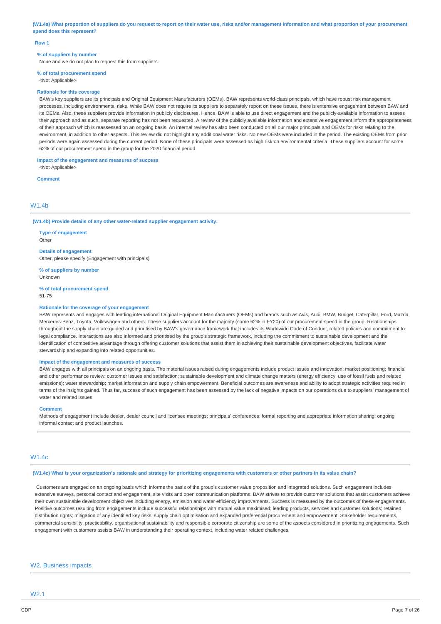(W1.4a) What proportion of suppliers do you request to report on their water use, risks and/or management information and what proportion of your procurement **spend does this represent?**

#### **Row 1**

#### **% of suppliers by number**

None and we do not plan to request this from suppliers

# **% of total procurement spend**

<Not Applicable>

#### **Rationale for this coverage**

BAW's key suppliers are its principals and Original Equipment Manufacturers (OEMs). BAW represents world-class principals, which have robust risk management processes, including environmental risks. While BAW does not require its suppliers to separately report on these issues, there is extensive engagement between BAW and its OEMs. Also, these suppliers provide information in publicly disclosures. Hence, BAW is able to use direct engagement and the publicly-available information to assess their approach and as such, separate reporting has not been requested. A review of the publicly available information and extensive engagement inform the appropriateness of their approach which is reassessed on an ongoing basis. An internal review has also been conducted on all our major principals and OEMs for risks relating to the environment, in addition to other aspects. This review did not highlight any additional water risks. No new OEMs were included in the period. The existing OEMs from prior periods were again assessed during the current period. None of these principals were assessed as high risk on environmental criteria. These suppliers account for some 62% of our procurement spend in the group for the 2020 financial period.

### **Impact of the engagement and measures of success**

<Not Applicable>

**Comment**

### W<sub>1</sub> 4h

**(W1.4b) Provide details of any other water-related supplier engagement activity.**

**Type of engagement**

Other

**Details of engagement** Other, please specify (Engagement with principals)

**% of suppliers by number** Unknown

**% of total procurement spend**

51-75

#### **Rationale for the coverage of your engagement**

BAW represents and engages with leading international Original Equipment Manufacturers (OEMs) and brands such as Avis, Audi, BMW, Budget, Caterpillar, Ford, Mazda, Mercedes-Benz, Toyota, Volkswagen and others. These suppliers account for the majority (some 62% in FY20) of our procurement spend in the group. Relationships throughout the supply chain are guided and prioritised by BAW's governance framework that includes its Worldwide Code of Conduct, related policies and commitment to legal compliance. Interactions are also informed and prioritised by the group's strategic framework, including the commitment to sustainable development and the identification of competitive advantage through offering customer solutions that assist them in achieving their sustainable development objectives, facilitate water stewardship and expanding into related opportunities.

### **Impact of the engagement and measures of success**

BAW engages with all principals on an ongoing basis. The material issues raised during engagements include product issues and innovation; market positioning; financial and other performance review; customer issues and satisfaction; sustainable development and climate change matters (energy efficiency, use of fossil fuels and related emissions); water stewardship; market information and supply chain empowerment. Beneficial outcomes are awareness and ability to adopt strategic activities required in terms of the insights gained. Thus far, success of such engagement has been assessed by the lack of negative impacts on our operations due to suppliers' management of water and related issues.

#### **Comment**

Methods of engagement include dealer, dealer council and licensee meetings; principals' conferences; formal reporting and appropriate information sharing; ongoing informal contact and product launches.

## W1.4c

### (W1.4c) What is your organization's rationale and strategy for prioritizing engagements with customers or other partners in its value chain?

Customers are engaged on an ongoing basis which informs the basis of the group's customer value proposition and integrated solutions. Such engagement includes extensive surveys, personal contact and engagement, site visits and open communication platforms. BAW strives to provide customer solutions that assist customers achieve their own sustainable development objectives including energy**,** emission and water efficiency improvements. Success is measured by the outcomes of these engagements. Positive outcomes resulting from engagements include successful relationships with mutual value maximised; leading products, services and customer solutions; retained distribution rights; mitigation of any identified key risks, supply chain optimisation and expanded preferential procurement and empowerment. Stakeholder requirements commercial sensibility, practicability, organisational sustainability and responsible corporate citizenship are some of the aspects considered in prioritizing engagements. Such engagement with customers assists BAW in understanding their operating context, including water related challenges.

### W2. Business impacts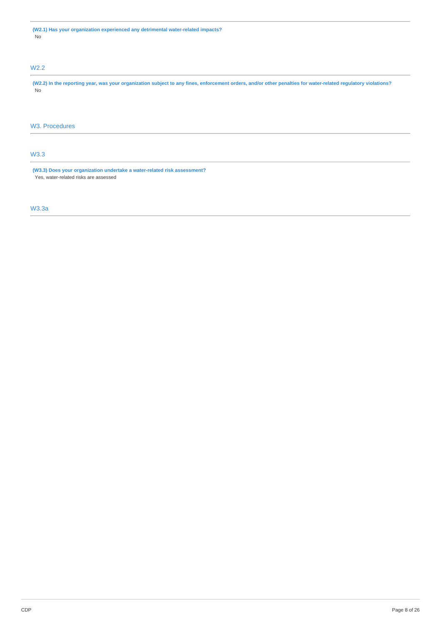# W2.2

(W2.2) In the reporting year, was your organization subject to any fines, enforcement orders, and/or other penalties for water-related regulatory violations? No

# W3. Procedures

# W3.3

**(W3.3) Does your organization undertake a water-related risk assessment?** Yes, water-related risks are assessed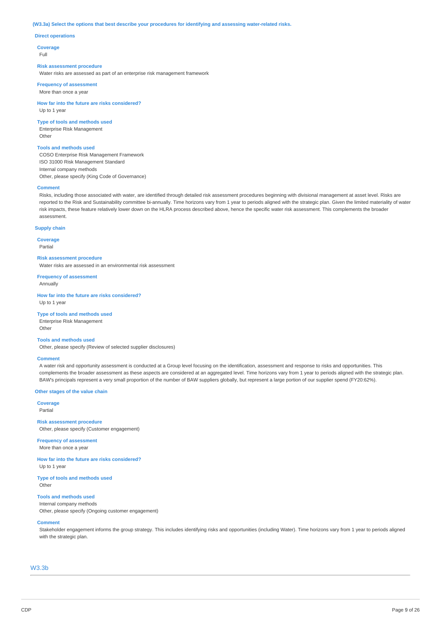#### **(W3.3a) Select the options that best describe your procedures for identifying and assessing water-related risks.**

### **Direct operations**

**Coverage**

Full

#### **Risk assessment procedure**

Water risks are assessed as part of an enterprise risk management framework

**Frequency of assessment** More than once a year

**How far into the future are risks considered?** Up to 1 year

#### **Type of tools and methods used**

Enterprise Risk Management Other

## **Tools and methods used**

COSO Enterprise Risk Management Framework ISO 31000 Risk Management Standard Internal company methods Other, please specify (King Code of Governance)

#### **Comment**

Risks, including those associated with water, are identified through detailed risk assessment procedures beginning with divisional management at asset level. Risks are reported to the Risk and Sustainability committee bi-annually. Time horizons vary from 1 year to periods aligned with the strategic plan. Given the limited materiality of water risk impacts, these feature relatively lower down on the HLRA process described above, hence the specific water risk assessment. This complements the broader assessment.

### **Supply chain**

**Coverage** Partial

#### **Risk assessment procedure**

Water risks are assessed in an environmental risk assessment

**Frequency of assessment** Annually

**How far into the future are risks considered?** Up to 1 year

## **Type of tools and methods used**

Enterprise Risk Management Other

#### **Tools and methods used**

Other, please specify (Review of selected supplier disclosures)

#### **Comment**

A water risk and opportunity assessment is conducted at a Group level focusing on the identification, assessment and response to risks and opportunities. This complements the broader assessment as these aspects are considered at an aggregated level. Time horizons vary from 1 year to periods aligned with the strategic plan. BAW's principals represent a very small proportion of the number of BAW suppliers globally, but represent a large portion of our supplier spend (FY20:62%).

#### **Other stages of the value chain**

**Coverage** Partial

**Risk assessment procedure** Other, please specify (Customer engagement)

**Frequency of assessment** More than once a year

**How far into the future are risks considered?** Up to 1 year

**Type of tools and methods used** Other

### **Tools and methods used**

Internal company methods Other, please specify (Ongoing customer engagement)

### **Comment**

Stakeholder engagement informs the group strategy. This includes identifying risks and opportunities (including Water). Time horizons vary from 1 year to periods aligned with the strategic plan.

### W3.3b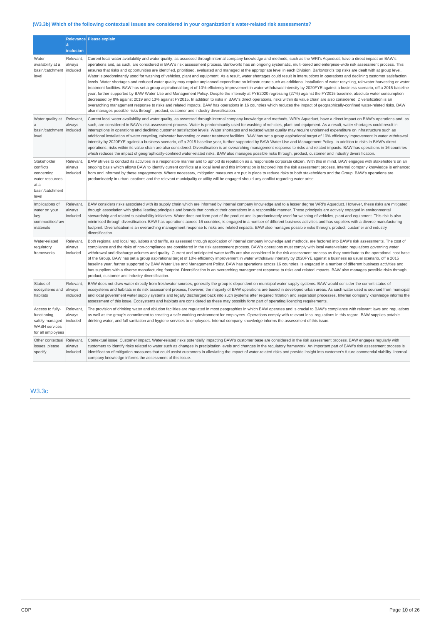# **(W3.3b) Which of the following contextual issues are considered in your organization's water-related risk assessments?**

|                                                                                                 |                                 | Relevance Please explain                                                                                                                                                                                                                                                                                                                                                                                                                                                                                                                                                                                                                                                                                                                                                                                                                                                                                                                                                                                                                                                                                                                                                                                                                                                                                                                                                                                                                                                                                                                                                                                                                                                                                                                                                     |
|-------------------------------------------------------------------------------------------------|---------------------------------|------------------------------------------------------------------------------------------------------------------------------------------------------------------------------------------------------------------------------------------------------------------------------------------------------------------------------------------------------------------------------------------------------------------------------------------------------------------------------------------------------------------------------------------------------------------------------------------------------------------------------------------------------------------------------------------------------------------------------------------------------------------------------------------------------------------------------------------------------------------------------------------------------------------------------------------------------------------------------------------------------------------------------------------------------------------------------------------------------------------------------------------------------------------------------------------------------------------------------------------------------------------------------------------------------------------------------------------------------------------------------------------------------------------------------------------------------------------------------------------------------------------------------------------------------------------------------------------------------------------------------------------------------------------------------------------------------------------------------------------------------------------------------|
|                                                                                                 | &<br>inclusion                  |                                                                                                                                                                                                                                                                                                                                                                                                                                                                                                                                                                                                                                                                                                                                                                                                                                                                                                                                                                                                                                                                                                                                                                                                                                                                                                                                                                                                                                                                                                                                                                                                                                                                                                                                                                              |
| Water<br>availability at a<br>basin/catchment<br>level                                          | Relevant,<br>always<br>included | Current local water availability and water quality, as assessed through internal company knowledge and methods, such as the WRI's Aqueduct, have a direct impact on BAW's<br>operations and, as such, are considered in BAW's risk assessment process. Barloworld has an ongoing systematic, multi-tiered and enterprise-wide risk assessment process. This<br>ensures that risks and opportunities are identified, prioritised, evaluated and managed at the appropriate level in each Division. Barloworld's top risks are dealt with at group level.<br>Water is predominantly used for washing of vehicles, plant and equipment. As a result, water shortages could result in interruptions in operations and declining customer satisfaction<br>levels. Water shortages and reduced water quality may require unplanned expenditure on infrastructure such as additional installation of water recycling, rainwater harvesting or water<br>treatment facilities. BAW has set a group aspirational target of 10% efficiency improvement in water withdrawal intensity by 2020FYE against a business scenario, off a 2015 baseline<br>year, further supported by BAW Water Use and Management Policy. Despite the intensity at FYE2020 regressing (27%) against the FY2015 baseline, absolute water consumption<br>decreased by 8% against 2019 and 13% against FY2015. In addition to risks in BAW's direct operations, risks within its value chain are also considered. Diversification is an<br>overarching management response to risks and related impacts. BAW has operations in 16 countries which reduces the impact of geographically-confined water-related risks. BAW<br>also manages possible risks through, product, customer and industry diversification. |
| Water quality at<br>$\mathbf{a}$<br>basin/catchment   included<br>level                         | Relevant,<br>always             | Current local water availability and water quality, as assessed through internal company knowledge and methods, WRI's Aqueduct, have a direct impact on BAW's operations and, as<br>such, are considered in BAW's risk assessment process. Water is predominantly used for washing of vehicles, plant and equipment. As a result, water shortages could result in<br>interruptions in operations and declining customer satisfaction levels. Water shortages and reduced water quality may require unplanned expenditure on infrastructure such as<br>additional installation of water recycling, rainwater harvesting or water treatment facilities. BAW has set a group aspirational target of 10% efficiency improvement in water withdrawal<br>intensity by 2020FYE against a business scenario, off a 2015 baseline year, further supported by BAW Water Use and Management Policy. In addition to risks in BAW's direct<br>operations, risks within its value chain are also considered. Diversification is an overarching management response to risks and related impacts. BAW has operations in 16 countries<br>which reduces the impact of geographically-confined water-related risks. BAW also manages possible risks through, product, customer and industry diversification.                                                                                                                                                                                                                                                                                                                                                                                                                                                                                   |
| Stakeholder<br>conflicts<br>concerning<br>water resources<br>at a<br>basin/catchment<br>level   | Relevant,<br>always<br>included | BAW strives to conduct its activities in a responsible manner and to uphold its reputation as a responsible corporate citizen. With this in mind, BAW engages with stakeholders on an<br>ongoing basis which allows BAW to identify current conflicts at a local level and this information is factored into the risk assessment process. Internal company knowledge is enhanced<br>from and informed by these engagements. Where necessary, mitigation measures are put in place to reduce risks to both stakeholders and the Group. BAW's operations are<br>predominately in urban locations and the relevant municipality or utility will be engaged should any conflict regarding water arise.                                                                                                                                                                                                                                                                                                                                                                                                                                                                                                                                                                                                                                                                                                                                                                                                                                                                                                                                                                                                                                                                           |
| Implications of<br>water on your<br>key<br>commodities/raw<br>materials                         | Relevant,<br>always<br>included | BAW considers risks associated with its supply chain which are informed by internal company knowledge and to a lesser degree WRI's Aqueduct. However, these risks are mitigated<br>through association with global leading principals and brands that conduct their operations in a responsible manner. These principals are actively engaged in environmental<br>stewardship and related sustainability initiatives. Water does not form part of the product and is predominately used for washing of vehicles, plant and equipment. This risk is also<br>minimised through diversification. BAW has operations across 16 countries, is engaged in a number of different business activities and has suppliers with a diverse manufacturing<br>footprint. Diversification is an overarching management response to risks and related impacts. BAW also manages possible risks through, product, customer and industry<br>diversification.                                                                                                                                                                                                                                                                                                                                                                                                                                                                                                                                                                                                                                                                                                                                                                                                                                   |
| Water-related<br>regulatory<br>frameworks                                                       | Relevant,<br>always<br>included | Both regional and local regulations and tariffs, as assessed through application of internal company knowledge and methods, are factored into BAW's risk assessments. The cost of<br>compliance and the risks of non-compliance are considered in the risk assessment process. BAW's operations must comply with local water-related regulations governing water<br>withdrawal and discharge volumes and quality. Current and anticipated water tariffs are also considered in the risk assessment process as they contribute to the operational cost base<br>of the Group. BAW has set a group aspirational target of 10% efficiency improvement in water withdrawal intensity by 2020FYE against a business as usual scenario, off a 2015<br>baseline year, further supported by BAW Water Use and Management Policy. BAW has operations across 16 countries, is engaged in a number of different business activities and<br>has suppliers with a diverse manufacturing footprint. Diversification is an overarching management response to risks and related impacts. BAW also manages possible risks through,<br>product, customer and industry diversification.                                                                                                                                                                                                                                                                                                                                                                                                                                                                                                                                                                                                         |
| Status of<br>ecosystems and<br>habitats                                                         | Relevant,<br>always<br>included | BAW does not draw water directly from freshwater sources, generally the group is dependent on municipal water supply systems. BAW would consider the current status of<br>ecosystems and habitats in its risk assessment process, however, the majority of BAW operations are based in developed urban areas. As such water used is sourced from municipal<br>and local government water supply systems and legally discharged back into such systems after required filtration and separation processes. Internal company knowledge informs the<br>assessment of this issue. Ecosystems and habitats are considered as these may possibly form part of operating licencing requirements.                                                                                                                                                                                                                                                                                                                                                                                                                                                                                                                                                                                                                                                                                                                                                                                                                                                                                                                                                                                                                                                                                    |
| Access to fully-<br>functioning,<br>safely managed<br><b>WASH</b> services<br>for all employees | Relevant,<br>always<br>included | The provision of drinking water and ablution facilities are regulated in most geographies in which BAW operates and is crucial to BAW's compliance with relevant laws and regulations<br>as well as the group's commitment to creating a safe working environment for employees. Operations comply with relevant local regulations in this regard. BAW supplies potable<br>drinking water, and full sanitation and hygiene services to employees. Internal company knowledge informs the assessment of this issue.                                                                                                                                                                                                                                                                                                                                                                                                                                                                                                                                                                                                                                                                                                                                                                                                                                                                                                                                                                                                                                                                                                                                                                                                                                                           |
| Other contextual<br>issues, please<br>specify                                                   | Relevant,<br>always<br>included | Contextual issue: Customer impact. Water-related risks potentially impacting BAW's customer base are considered in the risk assessment process. BAW engages regularly with<br>customers to identify risks related to water such as changes in precipitation levels and changes in the regulatory framework. An important part of BAW's risk assessment process is<br>identification of mitigation measures that could assist customers in alleviating the impact of water-related risks and provide insight into customer's future commercial viability. Internal<br>company knowledge informs the assessment of this issue.                                                                                                                                                                                                                                                                                                                                                                                                                                                                                                                                                                                                                                                                                                                                                                                                                                                                                                                                                                                                                                                                                                                                                 |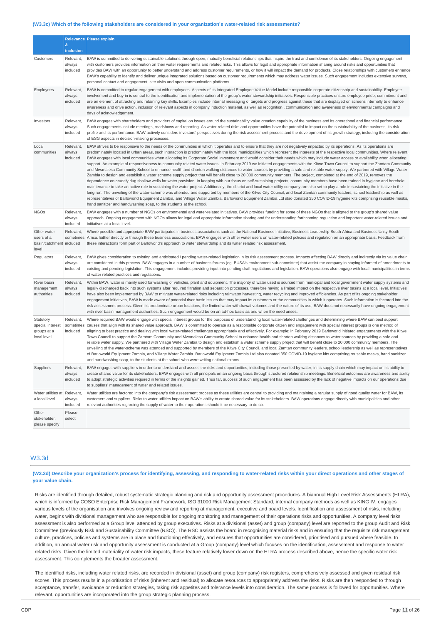#### **(W3.3c) Which of the following stakeholders are considered in your organization's water-related risk assessments?**

|                                                                | &<br>inclusion                     | Relevance Please explain                                                                                                                                                                                                                                                                                                                                                                                                                                                                                                                                                                                                                                                                                                                                                                                                                                                                                                                                                                                                                                                                                                                                                                                                                                                                                                                                                                                                                                                                                                                                                                                                                                                                                                                                                                                                                                                                                                                   |
|----------------------------------------------------------------|------------------------------------|--------------------------------------------------------------------------------------------------------------------------------------------------------------------------------------------------------------------------------------------------------------------------------------------------------------------------------------------------------------------------------------------------------------------------------------------------------------------------------------------------------------------------------------------------------------------------------------------------------------------------------------------------------------------------------------------------------------------------------------------------------------------------------------------------------------------------------------------------------------------------------------------------------------------------------------------------------------------------------------------------------------------------------------------------------------------------------------------------------------------------------------------------------------------------------------------------------------------------------------------------------------------------------------------------------------------------------------------------------------------------------------------------------------------------------------------------------------------------------------------------------------------------------------------------------------------------------------------------------------------------------------------------------------------------------------------------------------------------------------------------------------------------------------------------------------------------------------------------------------------------------------------------------------------------------------------|
| Customers                                                      | Relevant,<br>always<br>included    | BAW is committed to delivering sustainable solutions through open, mutually beneficial relationships that inspire the trust and confidence of its stakeholders. Ongoing engagement<br>with customers provides information on their water requirements and related risks. This allows for legal and appropriate information sharing around risks and opportunities that<br>provides BAW with an opportunity to better understand and address customer requirements, or how it will impact the demand for products. Close relationships with customers enhance<br>BAW's capability to identify and deliver unique integrated solutions based on customer requirements which may address water issues. Such engagement includes extensive surveys,<br>personal contact and engagement, site visits and open communication platforms.                                                                                                                                                                                                                                                                                                                                                                                                                                                                                                                                                                                                                                                                                                                                                                                                                                                                                                                                                                                                                                                                                                          |
| Employees                                                      | Relevant,<br>always<br>included    | BAW is committed to regular engagement with employees. Aspects of its Integrated Employee Value Model include responsible corporate citizenship and sustainability. Employee<br>involvement and buy-in is central to the identification and implementation of the group's water stewardship initiatives. Responsible practices ensure employee pride, commitment and<br>are an element of attracting and retaining key skills. Examples include internal messaging of targets and progress against these that are displayed on screens internally to enhance<br>awareness and drive action, inclusion of relevant aspects in company induction material, as well as recognition , communication and awareness of environmental campaigns and<br>days of acknowledgement.                                                                                                                                                                                                                                                                                                                                                                                                                                                                                                                                                                                                                                                                                                                                                                                                                                                                                                                                                                                                                                                                                                                                                                   |
| Investors                                                      | Relevant,<br>always<br>included    | BAW engages with shareholders and providers of capital on issues around the sustainability value creation capability of the business and its operational and financial performance.<br>Such engagements include meetings, roadshows and reporting. As water-related risks and opportunities have the potential to impact on the sustainability of the business, its risk<br>profile and its performance. BAW actively considers investors' perspectives during the risk assessment process and the development of its growth strategy, including the consideration<br>of ESG aspects in decision-making processes.                                                                                                                                                                                                                                                                                                                                                                                                                                                                                                                                                                                                                                                                                                                                                                                                                                                                                                                                                                                                                                                                                                                                                                                                                                                                                                                         |
| Local<br>communities                                           | Relevant,<br>always<br>included    | BAW strives to be responsive to the needs of the communities in which it operates and to ensure that they are not negatively impacted by its operations. As its operations are<br>predominately located in urban areas, such interaction is predominately with the local municipalities which represent the interests of the respective local communities. Where relevant,<br>BAW engages with local communities when allocating its Corporate Social Investment and would consider their needs which may include water access or availability when allocating<br>support. An example of responsiveness to community related water issues; in February 2019 we initiated engagements with the Kitwe Town Council to support the Zamtam Community<br>and Mwanalesa Community School to enhance health and shorten walking distances to water sources by providing a safe and reliable water supply. We partnered with Village Water<br>Zambia to design and establish a water scheme supply project that will benefit close to 20 000 community members. The project, completed at the end of 2019, removes the<br>dependence on crudely dug shallow wells for water provision. In keeping with our focus on self-sustaining projects, community members have been trained in hygiene and borehole<br>maintenance to take an active role in sustaining the water project. Additionally, the district and local water utility company are also set to play a role in sustaining the initiative in the<br>long run. The unveiling of the water-scheme was attended and supported by members of the Kitwe City Council, and local Zamtan community leaders, school leadership as well as<br>representatives of Barloworld Equipment Zambia, and Village Water Zambia. Barloworld Equipment Zambia Ltd also donated 350 COVID-19 hygiene kits comprising reusable masks,<br>hand sanitizer and handwashing soap, to the students at the school. |
| <b>NGOs</b>                                                    | Relevant,<br>always<br>included    | BAW engages with a number of NGOs on environmental and water-related initiatives. BAW provides funding for some of these NGOs that is aligned to the group's shared value<br>approach. Ongoing engagement with NGOs allows for legal and appropriate information sharing and for understanding forthcoming regulation and important water-related issues and<br>initiatives at a local level.                                                                                                                                                                                                                                                                                                                                                                                                                                                                                                                                                                                                                                                                                                                                                                                                                                                                                                                                                                                                                                                                                                                                                                                                                                                                                                                                                                                                                                                                                                                                              |
| Other water<br>users at a<br>basin/catchment included<br>level | Relevant,<br>sometimes             | Where possible and appropriate BAW participates in business associations such as the National Business Initiative, Business Leadership South Africa and Business Unity South<br>Africa. Either directly or through these business associations, BAW engages with other water users on water-related policies and regulation on an appropriate basis. Feedback from<br>these interactions form part of Barloworld's approach to water stewardship and its water related risk assessment.                                                                                                                                                                                                                                                                                                                                                                                                                                                                                                                                                                                                                                                                                                                                                                                                                                                                                                                                                                                                                                                                                                                                                                                                                                                                                                                                                                                                                                                    |
| Regulators                                                     | Relevant,<br>always<br>included    | BAW gives consideration to existing and anticipated / pending water-related legislation in its risk assessment process. Impacts affecting BAW directly and indirectly via its value chain<br>are considered in this process. BAW engages in a number of business forums (eg. BUSA's environment sub-committee) that assist the company in staying informed of amendments to<br>existing and pending legislation. This engagement includes providing input into pending draft regulations and legislation. BAW operations also engage with local municipalities in terms<br>of water related practices and regulations.                                                                                                                                                                                                                                                                                                                                                                                                                                                                                                                                                                                                                                                                                                                                                                                                                                                                                                                                                                                                                                                                                                                                                                                                                                                                                                                     |
| River basin<br>management<br>authorities                       | Relevant,<br>always<br>included    | Within BAW, water is mainly used for washing of vehicles, plant and equipment. The majority of water used is sourced from municipal and local government water supply systems and<br>legally discharged back into such systems after required filtration and separation processes, therefore having a limited impact on the respective river basins at a local level. Initiatives<br>have also been implemented by BAW to mitigate water-related risks including rainwater harvesting, water recycling and improved efficiencies. As part of its ongoing stakeholder<br>engagement initiatives, BAW is made aware of potential river basin issues that may impact its customers or the communities in which it operates. Such information is factored into the<br>risk assessment process. Given its predominate urban locations, the limited water withdrawal volumes and the nature of its use, BAW does not necessarily have ongoing engagement<br>with river basin management authorities. Such engagement would be on an ad-hoc basis as and when the need arises.                                                                                                                                                                                                                                                                                                                                                                                                                                                                                                                                                                                                                                                                                                                                                                                                                                                                    |
| Statutory<br>special interest<br>groups at a<br>local level    | Relevant,<br>sometimes<br>included | Where required BAW would engage with special interest groups for the purposes of understanding local water-related challenges and determining where BAW can best support<br>causes that align with its shared value approach. BAW is committed to operate as a responsible corporate citizen and engagement with special interest groups is one method of<br>aligning to best practice and dealing with local water-related challenges appropriately and effectively. For example; in February 2019 Barloworld initiated engagements with the Kitwe<br>Town Council to support the Zamtam Community and Mwanalesa Community School to enhance health and shorten walking distances to water sources by providing a safe and<br>reliable water supply. We partnered with Village Water Zambia to design and establish a water scheme supply project that will benefit close to 20 000 community members. The<br>unveiling of the water-scheme was attended and supported by members of the Kitwe City Council, and local Zamtan community leaders, school leadership as well as representatives<br>of Barloworld Equipment Zambia, and Village Water Zambia. Barloworld Equipment Zambia Ltd also donated 350 COVID-19 hygiene kits comprising reusable masks, hand sanitizer<br>and handwashing soap, to the students at the school who were writing national exams.                                                                                                                                                                                                                                                                                                                                                                                                                                                                                                                                                                       |
| Suppliers                                                      | Relevant,<br>always<br>included    | BAW engages with suppliers in order to understand and assess the risks and opportunities, including those presented by water, in its supply chain which may impact on its ability to<br>create shared value for its stakeholders. BAW engages with all principals on an ongoing basis through structured relationship meetings. Beneficial outcomes are awareness and ability<br>to adopt strategic activities required in terms of the insights gained. Thus far, success of such engagement has been assessed by the lack of negative impacts on our operations due<br>to suppliers' management of water and related issues.                                                                                                                                                                                                                                                                                                                                                                                                                                                                                                                                                                                                                                                                                                                                                                                                                                                                                                                                                                                                                                                                                                                                                                                                                                                                                                             |
| Water utilities at<br>a local level                            | Relevant,<br>always<br>included    | Water utilities are factored into the company's risk assessment process as these utilities are central to providing and maintaining a regular supply of good quality water for BAW, its<br>customers and suppliers. Risks to water utilities impact on BAW's ability to create shared value for its stakeholders. BAW operations engage directly with municipalities and other<br>relevant authorities regarding the supply of water to their operations should it be necessary to do so.                                                                                                                                                                                                                                                                                                                                                                                                                                                                                                                                                                                                                                                                                                                                                                                                                                                                                                                                                                                                                                                                                                                                                                                                                                                                                                                                                                                                                                                  |
| Other<br>stakeholder,<br>please specify                        | Please<br>select                   |                                                                                                                                                                                                                                                                                                                                                                                                                                                                                                                                                                                                                                                                                                                                                                                                                                                                                                                                                                                                                                                                                                                                                                                                                                                                                                                                                                                                                                                                                                                                                                                                                                                                                                                                                                                                                                                                                                                                            |

# W3.3d

(W3.3d) Describe your organization's process for identifying, assessing, and responding to water-related risks within your direct operations and other stages of **your value chain.**

Risks are identified through detailed, robust systematic strategic planning and risk and opportunity assessment procedures. A biannual High Level Risk Assessments (HLRA), which is informed by COSO Enterprise Risk Management Framework, ISO 31000 Risk Management Standard, internal company methods as well as KING IV, engages various levels of the organisation and involves ongoing review and reporting at management, executive and board levels. Identification and assessment of risks, including water, begins with divisional management who are responsible for ongoing monitoring and management of their operations risks and opportunities. A company level risks assessment is also performed at a Group level attended by group executives. Risks at a divisional (asset) and group (company) level are reported to the group Audit and Risk Committee (previously Risk and Sustainability Committee (RSC)). The RSC assists the board in recognising material risks and in ensuring that the requisite risk management culture, practices, policies and systems are in place and functioning effectively, and ensures that opportunities are considered, prioritised and pursued where feasible. In addition, an annual water risk and opportunity assessment is conducted at a Group (company) level which focuses on the identification, assessment and response to water related risks. Given the limited materiality of water risk impacts, these feature relatively lower down on the HLRA process described above, hence the specific water risk assessment. This complements the broader assessment.

The identified risks, including water related risks, are recorded in divisional (asset) and group (company) risk registers, comprehensively assessed and given residual risk scores. This process results in a prioritisation of risks (inherent and residual) to allocate resources to appropriately address the risks. Risks are then responded to through acceptance, transfer, avoidance or reduction strategies, taking risk appetites and tolerance levels into consideration. The same process is followed for opportunities. Where relevant, opportunities are incorporated into the group strategic planning process.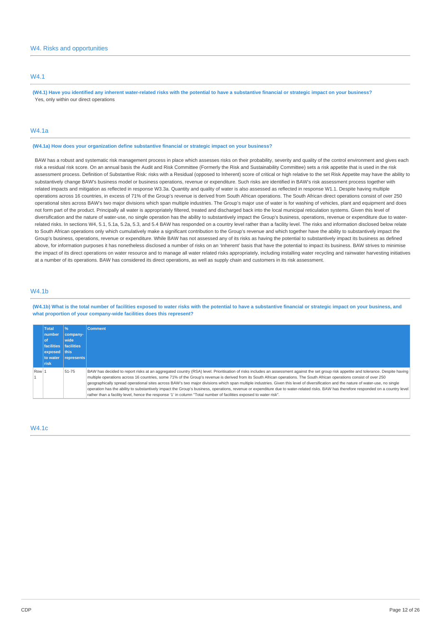# W4.1

(W4.1) Have you identified any inherent water-related risks with the notential to have a substantive financial or strategic impact on your business? Yes, only within our direct operations

### W4.1a

**(W4.1a) How does your organization define substantive financial or strategic impact on your business?**

BAW has a robust and systematic risk management process in place which assesses risks on their probability, severity and quality of the control environment and gives each risk a residual risk score. On an annual basis the Audit and Risk Committee (Formerly the Risk and Sustainability Committee) sets a risk appetite that is used in the risk assessment process. Definition of Substantive Risk: risks with a Residual (opposed to Inherent) score of critical or high relative to the set Risk Appetite may have the ability to substantively change BAW's business model or business operations, revenue or expenditure. Such risks are identified in BAW's risk assessment process together with related impacts and mitigation as reflected in response W3.3a. Quantity and quality of water is also assessed as reflected in response W1.1. Despite having multiple operations across 16 countries, in excess of 71% of the Group's revenue is derived from South African operations. The South African direct operations consist of over 250 operational sites across BAW's two major divisions which span multiple industries. The Group's major use of water is for washing of vehicles, plant and equipment and does not form part of the product. Principally all water is appropriately filtered, treated and discharged back into the local municipal reticulation systems. Given this level of diversification and the nature of water-use, no single operation has the ability to substantively impact the Group's business, operations, revenue or expenditure due to waterrelated risks. In sections W4, 5.1, 5.1a, 5.2a, 5.3, and 5.4 BAW has responded on a country level rather than a facility level. The risks and information disclosed below relate to South African operations only which cumulatively make a significant contribution to the Group's revenue and which together have the ability to substantively impact the Group's business, operations, revenue or expenditure. While BAW has not assessed any of its risks as having the potential to substantively impact its business as defined above, for information purposes it has nonetheless disclosed a number of risks on an 'Inherent' basis that have the potential to impact its business. BAW strives to minimise the impact of its direct operations on water resource and to manage all water related risks appropriately, including installing water recycling and rainwater harvesting initiatives at a number of its operations. BAW has considered its direct operations, as well as supply chain and customers in its risk assessment.

# W4.1b

(W4.1b) What is the total number of facilities exposed to water risks with the potential to have a substantive financial or strategic impact on your business, and **what proportion of your company-wide facilities does this represent?**

|       | Total<br>number<br>l of<br>facilities facilities<br>exposed this<br>to water | 96<br>$ company-$<br>wide<br> represents | <b>Comment</b>                                                                                                                                                                                                                                                                                                                                                                                                                                                                                                                                                                                                                                                                                                                                                                                                                                                          |
|-------|------------------------------------------------------------------------------|------------------------------------------|-------------------------------------------------------------------------------------------------------------------------------------------------------------------------------------------------------------------------------------------------------------------------------------------------------------------------------------------------------------------------------------------------------------------------------------------------------------------------------------------------------------------------------------------------------------------------------------------------------------------------------------------------------------------------------------------------------------------------------------------------------------------------------------------------------------------------------------------------------------------------|
| Row 1 | <b>Trisk</b>                                                                 | 51-75                                    | BAW has decided to report risks at an aggregated country (RSA) level. Prioritisation of risks includes an assessment against the set group risk appetite and tolerance. Despite having<br>multiple operations across 16 countries, some 71% of the Group's revenue is derived from its South African operations. The South African operations consist of over 250<br>geographically spread operational sites across BAW's two major divisions which span multiple industries. Given this level of diversification and the nature of water-use, no single<br>operation has the ability to substantively impact the Group's business, operations, revenue or expenditure due to water-related risks. BAW has therefore responded on a country level<br>rather than a facility level, hence the response '1' in column "Total number of facilities exposed to water risk". |

### W4.1c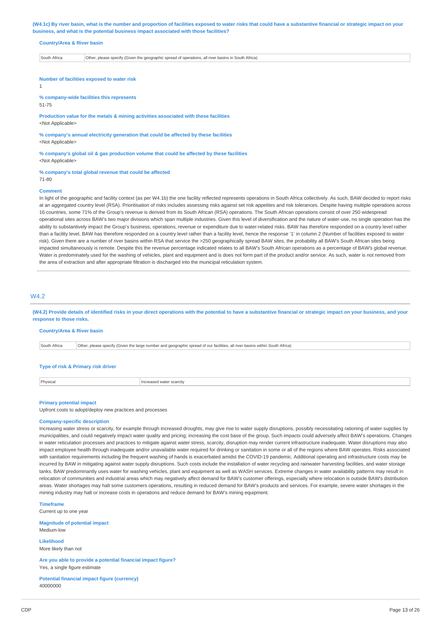(W4.1c) By river basin, what is the number and proportion of facilities exposed to water risks that could have a substantive financial or strategic impact on your **business, and what is the potential business impact associated with those facilities?**

### **Country/Area & River basin**

South Africa **Other, please specify (Given the geographic spread of operations, all river basins in South Africa)** 

**Number of facilities exposed to water risk**

1

**% company-wide facilities this represents**

51-75

**Production value for the metals & mining activities associated with these facilities** <Not Applicable>

**% company's annual electricity generation that could be affected by these facilities** <Not Applicable>

**% company's global oil & gas production volume that could be affected by these facilities** <Not Applicable>

#### **% company's total global revenue that could be affected**

71-80

#### **Comment**

In light of the geographic and facility context (as per W4.1b) the one facility reflected represents operations in South Africa collectively. As such, BAW decided to report risks at an aggregated country level (RSA). Prioritisation of risks includes assessing risks against set risk appetites and risk tolerances. Despite having multiple operations across 16 countries, some 71% of the Group's revenue is derived from its South African (RSA) operations. The South African operations consist of over 250 widespread operational sites across BAW's two major divisions which span multiple industries. Given this level of diversification and the nature of water-use, no single operation has the ability to substantively impact the Group's business, operations, revenue or expenditure due to water-related risks. BAW has therefore responded on a country level rather than a facility level, BAW has therefore responded on a country level rather than a facility level, hence the response '1' in column 2 (Number of facilities exposed to water risk). Given there are a number of river basins within RSA that service the >250 geographically spread BAW sites, the probability all BAW's South African sites being impacted simultaneously is remote. Despite this the revenue percentage indicated relates to all BAW's South African operations as a percentage of BAW's global revenue. Water is predominately used for the washing of vehicles, plant and equipment and is does not form part of the product and/or service. As such, water is not removed from the area of extraction and after appropriate filtration is discharged into the municipal reticulation system.

# W4.2

(W4.2) Provide details of identified risks in your direct operations with the potential to have a substantive financial or strategic impact on your business, and your **response to those risks.**

### **Country/Area & River basin**

South Africa Other, please specify (Given the large number and geographic spread of our facilities, all river basins within South Africa)

### **Type of risk & Primary risk driver**

| Physical<br>Increased water scarcity |  |
|--------------------------------------|--|
|--------------------------------------|--|

#### **Primary potential impact**

Upfront costs to adopt/deploy new practices and processes

#### **Company-specific description**

Increasing water stress or scarcity, for example through increased droughts, may give rise to water supply disruptions, possibly necessitating rationing of water supplies by municipalities, and could negatively impact water quality and pricing; increasing the cost base of the group. Such impacts could adversely affect BAW's operations. Changes in water reticulation processes and practices to mitigate against water stress, scarcity, disruption may render current infrastructure inadequate. Water disruptions may also impact employee health through inadequate and/or unavailable water required for drinking or sanitation in some or all of the regions where BAW operates. Risks associated with sanitation requirements including the frequent washing of hands is exacerbated amidst the COVID-19 pandemic. Additional operating and infrastructure costs may be incurred by BAW in mitigating against water supply disruptions. Such costs include the installation of water recycling and rainwater harvesting facilities, and water storage tanks. BAW predominantly uses water for washing vehicles, plant and equipment as well as WASH services. Extreme changes in water availability patterns may result in relocation of communities and industrial areas which may negatively affect demand for BAW's customer offerings, especially where relocation is outside BAW's distribution areas. Water shortages may halt some customers operations, resulting in reduced demand for BAW's products and services. For example, severe water shortages in the mining industry may halt or increase costs in operations and reduce demand for BAW's mining equipment.

**Timeframe**

Current up to one year

**Magnitude of potential impact** Medium-low

**Likelihood** More likely than not

**Are you able to provide a potential financial impact figure?** Yes, a single figure estimate

**Potential financial impact figure (currency)** 40000000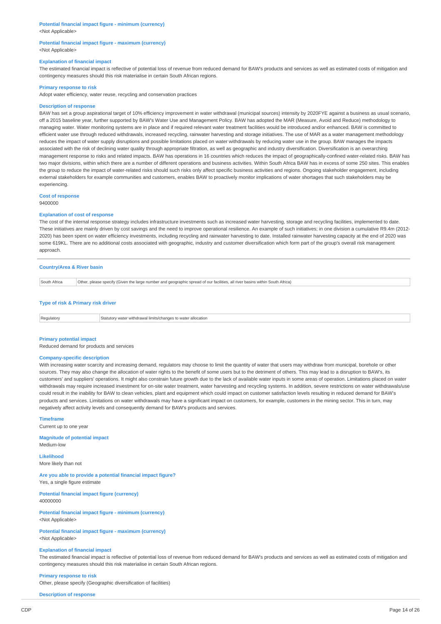### **Potential financial impact figure - minimum (currency)** <Not Applicable>

### **Potential financial impact figure - maximum (currency)** <Not Applicable>

### **Explanation of financial impact**

The estimated financial impact is reflective of potential loss of revenue from reduced demand for BAW's products and services as well as estimated costs of mitigation and contingency measures should this risk materialise in certain South African regions.

### **Primary response to risk**

Adopt water efficiency, water reuse, recycling and conservation practices

### **Description of response**

BAW has set a group aspirational target of 10% efficiency improvement in water withdrawal (municipal sources) intensity by 2020FYE against a business as usual scenario, off a 2015 baseline year, further supported by BAW's Water Use and Management Policy. BAW has adopted the MAR (Measure, Avoid and Reduce) methodology to managing water. Water monitoring systems are in place and if required relevant water treatment facilities would be introduced and/or enhanced. BAW is committed to efficient water use through reduced withdrawals, increased recycling, rainwater harvesting and storage initiatives. The use of MAR as a water management methodology reduces the impact of water supply disruptions and possible limitations placed on water withdrawals by reducing water use in the group. BAW manages the impacts associated with the risk of declining water quality through appropriate filtration, as well as geographic and industry diversification. Diversification is an overarching management response to risks and related impacts. BAW has operations in 16 countries which reduces the impact of geographically-confined water-related risks. BAW has two major divisions, within which there are a number of different operations and business activities. Within South Africa BAW has in excess of some 250 sites. This enables the group to reduce the impact of water-related risks should such risks only affect specific business activities and regions. Ongoing stakeholder engagement, including external stakeholders for example communities and customers, enables BAW to proactively monitor implications of water shortages that such stakeholders may be experiencing.

# **Cost of response**

9400000

### **Explanation of cost of response**

The cost of the internal response strategy includes infrastructure investments such as increased water harvesting, storage and recycling facilities, implemented to date. These initiatives are mainly driven by cost savings and the need to improve operational resilience. An example of such initiatives; in one division a cumulative R9.4m (2012- 2020) has been spent on water efficiency investments, including recycling and rainwater harvesting to date. Installed rainwater harvesting capacity at the end of 2020 was some 619KL. There are no additional costs associated with geographic, industry and customer diversification which form part of the group's overall risk management approach.

### **Country/Area & River basin**

| South Africa | r, please specify (Given the large number and geographic spread of our facilities, all river basins within South Africa)<br>'Other. |  |
|--------------|-------------------------------------------------------------------------------------------------------------------------------------|--|
|              | . .                                                                                                                                 |  |

### **Type of risk & Primary risk driver**

| Regi<br><b>ulator</b> | Statutor<br>allocation<br>torv wate<br>risathdrou<br>: to water<br><b>LINE ITS</b><br>iube<br>aritii dwar e<br>י ומו הי |
|-----------------------|-------------------------------------------------------------------------------------------------------------------------|
|-----------------------|-------------------------------------------------------------------------------------------------------------------------|

### **Primary potential impact**

Reduced demand for products and services

### **Company-specific description**

With increasing water scarcity and increasing demand, regulators may choose to limit the quantity of water that users may withdraw from municipal, borehole or other sources. They may also change the allocation of water rights to the benefit of some users but to the detriment of others. This may lead to a disruption to BAW's, its customers' and suppliers' operations. It might also constrain future growth due to the lack of available water inputs in some areas of operation. Limitations placed on water withdrawals may require increased investment for on-site water treatment, water harvesting and recycling systems. In addition, severe restrictions on water withdrawals/use could result in the inability for BAW to clean vehicles, plant and equipment which could impact on customer satisfaction levels resulting in reduced demand for BAW's products and services. Limitations on water withdrawals may have a significant impact on customers, for example, customers in the mining sector. This in turn, may negatively affect activity levels and consequently demand for BAW's products and services.

# **Timeframe**

Current up to one year

**Magnitude of potential impact** Medium-low

**Likelihood** More likely than not

**Are you able to provide a potential financial impact figure?** Yes, a single figure estimate

**Potential financial impact figure (currency)** 40000000

**Potential financial impact figure - minimum (currency)** <Not Applicable>

**Potential financial impact figure - maximum (currency)** <Not Applicable>

## **Explanation of financial impact**

The estimated financial impact is reflective of potential loss of revenue from reduced demand for BAW's products and services as well as estimated costs of mitigation and contingency measures should this risk materialise in certain South African regions.

**Primary response to risk** Other, please specify (Geographic diversification of facilities)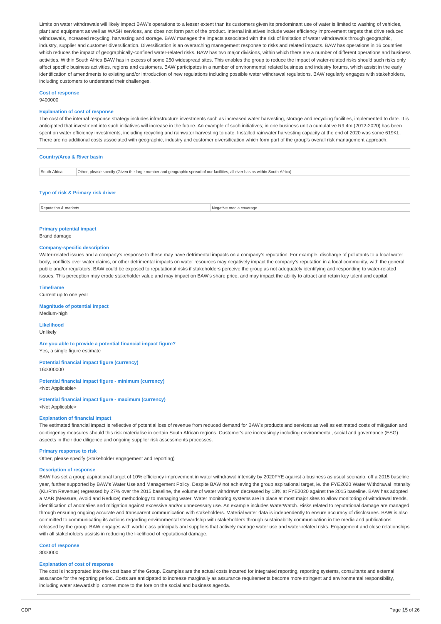Limits on water withdrawals will likely impact BAW's operations to a lesser extent than its customers given its predominant use of water is limited to washing of vehicles, plant and equipment as well as WASH services, and does not form part of the product. Internal initiatives include water efficiency improvement targets that drive reduced withdrawals, increased recycling, harvesting and storage. BAW manages the impacts associated with the risk of limitation of water withdrawals through geographic. industry, supplier and customer diversification. Diversification is an overarching management response to risks and related impacts. BAW has operations in 16 countries which reduces the impact of geographically-confined water-related risks. BAW has two major divisions, within which there are a number of different operations and business activities. Within South Africa BAW has in excess of some 250 widespread sites. This enables the group to reduce the impact of water-related risks should such risks only affect specific business activities, regions and customers. BAW participates in a number of environmental related business and industry forums, which assist in the early identification of amendments to existing and/or introduction of new regulations including possible water withdrawal regulations. BAW regularly engages with stakeholders, including customers to understand their challenges.

#### **Cost of response** 9400000

### **Explanation of cost of response**

The cost of the internal response strategy includes infrastructure investments such as increased water harvesting, storage and recycling facilities, implemented to date. It is anticipated that investment into such initiatives will increase in the future. An example of such initiatives; in one business unit a cumulative R9.4m (2012-2020) has been spent on water efficiency investments, including recycling and rainwater harvesting to date. Installed rainwater harvesting capacity at the end of 2020 was some 619KL. There are no additional costs associated with geographic, industry and customer diversification which form part of the group's overall risk management approach.

|                                    | <b>Country/Area &amp; River basin</b>                                                                                        |  |  |  |
|------------------------------------|------------------------------------------------------------------------------------------------------------------------------|--|--|--|
| South Africa                       | Other, please specify (Given the large number and geographic spread of our facilities, all river basins within South Africa) |  |  |  |
| Type of risk & Primary risk driver |                                                                                                                              |  |  |  |

# Reputation & markets **Negative media coverage** Negative media coverage

#### **Primary potential impact**

Brand damage

### **Company-specific description**

Water-related issues and a company's response to these may have detrimental impacts on a company's reputation. For example, discharge of pollutants to a local water body, conflicts over water claims, or other detrimental impacts on water resources may negatively impact the company's reputation in a local community, with the general public and/or regulators. BAW could be exposed to reputational risks if stakeholders perceive the group as not adequately identifying and responding to water-related issues. This perception may erode stakeholder value and may impact on BAW's share price, and may impact the ability to attract and retain key talent and capital.

#### **Timeframe**

Current up to one year

**Magnitude of potential impact** Medium-high

**Likelihood** Unlikely

**Are you able to provide a potential financial impact figure?** Yes, a single figure estimate

**Potential financial impact figure (currency)** 160000000

**Potential financial impact figure - minimum (currency)** <Not Applicable>

### **Potential financial impact figure - maximum (currency)**

<Not Applicable>

### **Explanation of financial impact**

The estimated financial impact is reflective of potential loss of revenue from reduced demand for BAW's products and services as well as estimated costs of mitigation and contingency measures should this risk materialise in certain South African regions. Customer's are increasingly including environmental, social and governance (ESG) aspects in their due diligence and ongoing supplier risk assessments processes.

### **Primary response to risk**

Other, please specify (Stakeholder engagement and reporting)

#### **Description of response**

BAW has set a group aspirational target of 10% efficiency improvement in water withdrawal intensity by 2020FYE against a business as usual scenario, off a 2015 baseline year, further supported by BAW's Water Use and Management Policy. Despite BAW not achieving the group aspirational target, ie. the FYE2020 Water Withdrawal intensity (KL/R'm Revenue) regressed by 27% over the 2015 baseline, the volume of water withdrawn decreased by 13% at FYE2020 against the 2015 baseline. BAW has adopted a MAR (Measure, Avoid and Reduce) methodology to managing water. Water monitoring systems are in place at most major sites to allow monitoring of withdrawal trends, identification of anomalies and mitigation against excessive and/or unnecessary use. An example includes WaterWatch. Risks related to reputational damage are managed through ensuring ongoing accurate and transparent communication with stakeholders. Material water data is independently to ensure accuracy of disclosures. BAW is also committed to communicating its actions regarding environmental stewardship with stakeholders through sustainability communication in the media and publications released by the group. BAW engages with world class principals and suppliers that actively manage water use and water-related risks. Engagement and close relationships with all stakeholders assists in reducing the likelihood of reputational damage.

#### **Cost of response**

3000000

### **Explanation of cost of response**

The cost is incorporated into the cost base of the Group. Examples are the actual costs incurred for integrated reporting, reporting systems, consultants and external assurance for the reporting period. Costs are anticipated to increase marginally as assurance requirements become more stringent and environmental responsibility, including water stewardship, comes more to the fore on the social and business agenda.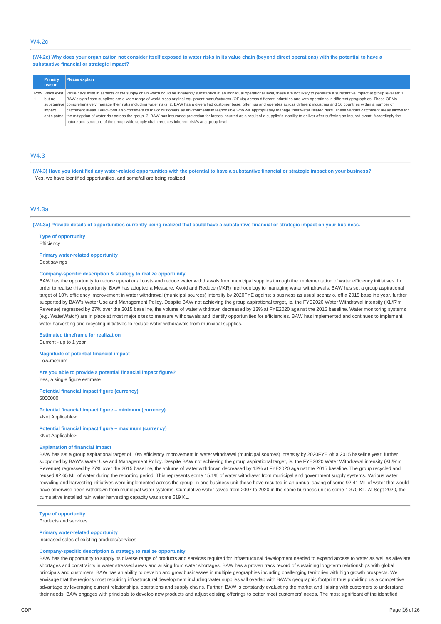# W4.2c

(W4.2c) Why does your organization not consider itself exposed to water risks in its value chain (beyond direct operations) with the potential to have a **substantive financial or strategic impact?**

|        | Primary       | Please explain                                                                                                                                                                                                          |  |  |
|--------|---------------|-------------------------------------------------------------------------------------------------------------------------------------------------------------------------------------------------------------------------|--|--|
|        | <b>reason</b> |                                                                                                                                                                                                                         |  |  |
|        |               | Row Risks exist, While risks exist in aspects of the supply chain which could be inherently substantive at an individual operational level, these are not likely to generate a substantive impact at group level as: 1. |  |  |
|        | but no        | BAW's significant suppliers are a wide range of world-class original equipment manufacturers (OEMs) across different industries and with operations in different geographies. These OEMs                                |  |  |
|        |               | substantive comprehensively manage their risks including water risks. 2. BAW has a diversified customer base, offerings and operates across different industries and 16 countries within a number of                    |  |  |
| impact |               | catchment areas. Barloworld also considers its major customers as environmentally responsible who will appropriately manage their water related risks. These various catchment areas allows for                         |  |  |
|        |               | anticipated the mitigation of water risk across the group. 3. BAW has insurance protection for losses incurred as a result of a supplier's inability to deliver after suffering an insured event. Accordingly the       |  |  |
|        |               | nature and structure of the group-wide supply chain reduces inherent risk/s at a group level.                                                                                                                           |  |  |

### W4.3

(W4.3) Have you identified any water-related opportunities with the potential to have a substantive financial or strategic impact on your business? Yes, we have identified opportunities, and some/all are being realized

# $MA$  3a

(W4.3a) Provide details of opportunities currently being realized that could have a substantive financial or strategic impact on your business.

**Type of opportunity Efficiency** 

### **Primary water-related opportunity**

Cost savings

### **Company-specific description & strategy to realize opportunity**

BAW has the opportunity to reduce operational costs and reduce water withdrawals from municipal supplies through the implementation of water efficiency initiatives. In order to realise this opportunity, BAW has adopted a Measure, Avoid and Reduce (MAR) methodology to managing water withdrawals. BAW has set a group aspirational target of 10% efficiency improvement in water withdrawal (municipal sources) intensity by 2020FYE against a business as usual scenario, off a 2015 baseline year, further supported by BAW's Water Use and Management Policy. Despite BAW not achieving the group aspirational target, ie. the FYE2020 Water Withdrawal intensity (KL/R'm Revenue) regressed by 27% over the 2015 baseline, the volume of water withdrawn decreased by 13% at FYE2020 against the 2015 baseline. Water monitoring systems (e.g. WaterWatch) are in place at most major sites to measure withdrawals and identify opportunities for efficiencies. BAW has implemented and continues to implement water harvesting and recycling initiatives to reduce water withdrawals from municipal supplies.

### **Estimated timeframe for realization**

Current - up to 1 year

**Magnitude of potential financial impact** Low-medium

**Are you able to provide a potential financial impact figure?** Yes, a single figure estimate

**Potential financial impact figure (currency)** 6000000

**Potential financial impact figure – minimum (currency)** <Not Applicable>

# **Potential financial impact figure – maximum (currency)**

<Not Applicable>

### **Explanation of financial impact**

BAW has set a group aspirational target of 10% efficiency improvement in water withdrawal (municipal sources) intensity by 2020FYE off a 2015 baseline year, further supported by BAW's Water Use and Management Policy. Despite BAW not achieving the group aspirational target, ie. the FYE2020 Water Withdrawal intensity (KL/R'm Revenue) regressed by 27% over the 2015 baseline, the volume of water withdrawn decreased by 13% at FYE2020 against the 2015 baseline. The group recycled and reused 92.65 ML of water during the reporting period. This represents some 15.1% of water withdrawn from municipal and government supply systems. Various water recycling and harvesting initiatives were implemented across the group, in one business unit these have resulted in an annual saving of some 92.41 ML of water that would have otherwise been withdrawn from municipal water systems. Cumulative water saved from 2007 to 2020 in the same business unit is some 1 370 KL. At Sept 2020, the cumulative installed rain water harvesting capacity was some 619 KL.

## **Type of opportunity**

Products and services

### **Primary water-related opportunity**

Increased sales of existing products/services

### **Company-specific description & strategy to realize opportunity**

BAW has the opportunity to supply its diverse range of products and services required for infrastructural development needed to expand access to water as well as alleviate shortages and constraints in water stressed areas and arising from water shortages. BAW has a proven track record of sustaining long-term relationships with global principals and customers. BAW has an ability to develop and grow businesses in multiple geographies including challenging territories with high growth prospects. We envisage that the regions most requiring infrastructural development including water supplies will overlap with BAW's geographic footprint thus providing us a competitive advantage by leveraging current relationships, operations and supply chains. Further, BAW is constantly evaluating the market and liaising with customers to understand their needs. BAW engages with principals to develop new products and adjust existing offerings to better meet customers' needs. The most significant of the identified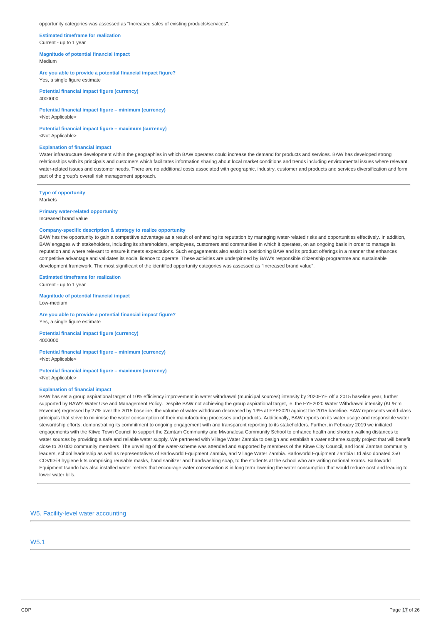#### opportunity categories was assessed as "Increased sales of existing products/services".

**Estimated timeframe for realization** Current - up to 1 year

**Magnitude of potential financial impact** Medium

**Are you able to provide a potential financial impact figure?** Yes, a single figure estimate

**Potential financial impact figure (currency)** 4000000

**Potential financial impact figure – minimum (currency)** <Not Applicable>

**Potential financial impact figure – maximum (currency)** <Not Applicable>

#### **Explanation of financial impact**

Water infrastructure development within the geographies in which BAW operates could increase the demand for products and services. BAW has developed strong relationships with its principals and customers which facilitates information sharing about local market conditions and trends including environmental issues where relevant, water-related issues and customer needs. There are no additional costs associated with geographic, industry, customer and products and services diversification and form part of the group's overall risk management approach.

**Type of opportunity** Markets

**Primary water-related opportunity** Increased brand value

### **Company-specific description & strategy to realize opportunity**

BAW has the opportunity to gain a competitive advantage as a result of enhancing its reputation by managing water-related risks and opportunities effectively. In addition, BAW engages with stakeholders, including its shareholders, employees, customers and communities in which it operates, on an ongoing basis in order to manage its reputation and where relevant to ensure it meets expectations. Such engagements also assist in positioning BAW and its product offerings in a manner that enhances competitive advantage and validates its social licence to operate. These activities are underpinned by BAW's responsible citizenship programme and sustainable development framework. The most significant of the identified opportunity categories was assessed as "Increased brand value".

**Estimated timeframe for realization**

Current - up to 1 year

**Magnitude of potential financial impact** Low-medium

**Are you able to provide a potential financial impact figure?** Yes, a single figure estimate

**Potential financial impact figure (currency)** 4000000

**Potential financial impact figure – minimum (currency)** <Not Applicable>

**Potential financial impact figure – maximum (currency)** <Not Applicable>

### **Explanation of financial impact**

BAW has set a group aspirational target of 10% efficiency improvement in water withdrawal (municipal sources) intensity by 2020FYE off a 2015 baseline year, further supported by BAW's Water Use and Management Policy. Despite BAW not achieving the group aspirational target, ie. the FYE2020 Water Withdrawal intensity (KL/R'm Revenue) regressed by 27% over the 2015 baseline, the volume of water withdrawn decreased by 13% at FYE2020 against the 2015 baseline. BAW represents world-class principals that strive to minimise the water consumption of their manufacturing processes and products. Additionally, BAW reports on its water usage and responsible water stewardship efforts, demonstrating its commitment to ongoing engagement with and transparent reporting to its stakeholders. Further, in February 2019 we initiated engagements with the Kitwe Town Council to support the Zamtam Community and Mwanalesa Community School to enhance health and shorten walking distances to water sources by providing a safe and reliable water supply. We partnered with Village Water Zambia to design and establish a water scheme supply project that will benefit close to 20 000 community members. The unveiling of the water-scheme was attended and supported by members of the Kitwe City Council, and local Zamtan community leaders, school leadership as well as representatives of Barloworld Equipment Zambia, and Village Water Zambia. Barloworld Equipment Zambia Ltd also donated 350 COVID-i9 hygiene kits comprising reusable masks, hand sanitizer and handwashing soap, to the students at the school who are writing national exams. Barloworld Equipment Isando has also installed water meters that encourage water conservation & in long term lowering the water consumption that would reduce cost and leading to lower water bills.

W5. Facility-level water accounting

# W5.1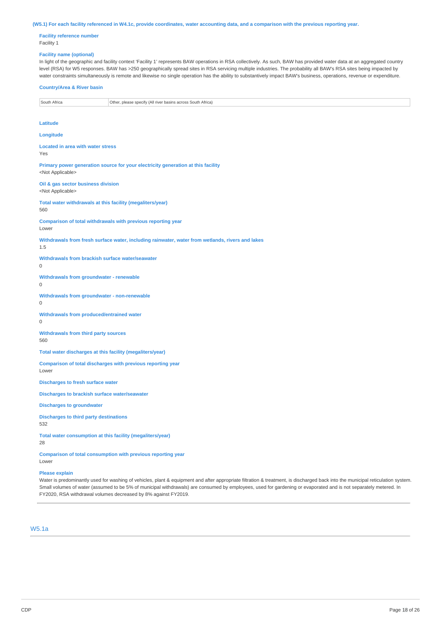#### (W5.1) For each facility referenced in W4.1c, provide coordinates, water accounting data, and a comparison with the previous reporting year.

**Facility reference number** Facility 1

### **Facility name (optional)**

In light of the geographic and facility context 'Facility 1' represents BAW operations in RSA collectively. As such, BAW has provided water data at an aggregated country level (RSA) for W5 responses. BAW has >250 geographically spread sites in RSA servicing multiple industries. The probability all BAW's RSA sites being impacted by water constraints simultaneously is remote and likewise no single operation has the ability to substantively impact BAW's business, operations, revenue or expenditure.

### **Country/Area & River basin**

### **Latitude**

**Longitude**

**Located in area with water stress** Yes

**Primary power generation source for your electricity generation at this facility** <Not Applicable>

**Oil & gas sector business division** <Not Applicable>

**Total water withdrawals at this facility (megaliters/year)** 560

**Comparison of total withdrawals with previous reporting year**

Lower

**Withdrawals from fresh surface water, including rainwater, water from wetlands, rivers and lakes** 1.5

**Withdrawals from brackish surface water/seawater**

 $\Omega$ 

 $\theta$ 

**Withdrawals from groundwater - renewable**

**Withdrawals from groundwater - non-renewable** 0

**Withdrawals from produced/entrained water**

 $\Omega$ 

Lower

**Withdrawals from third party sources** 560

**Total water discharges at this facility (megaliters/year)**

**Comparison of total discharges with previous reporting year**

**Discharges to fresh surface water**

**Discharges to brackish surface water/seawater**

**Discharges to groundwater**

**Discharges to third party destinations** 532

**Total water consumption at this facility (megaliters/year)** 28

**Comparison of total consumption with previous reporting year** Lower

### **Please explain**

Water is predominantly used for washing of vehicles, plant & equipment and after appropriate filtration & treatment, is discharged back into the municipal reticulation system. Small volumes of water (assumed to be 5% of municipal withdrawals) are consumed by employees, used for gardening or evaporated and is not separately metered. In FY2020, RSA withdrawal volumes decreased by 8% against FY2019.

# W5.1a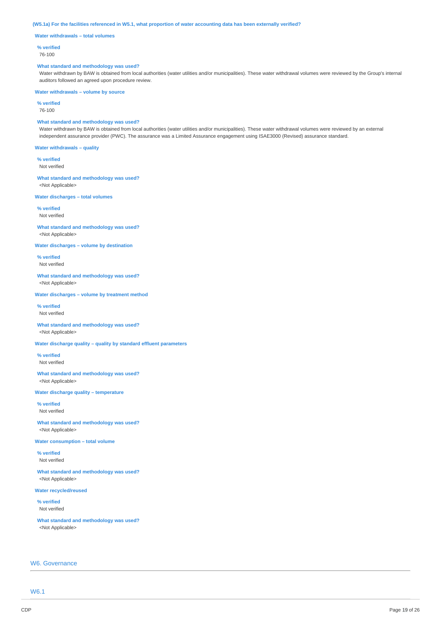(W5.1a) For the facilities referenced in W5.1, what proportion of water accounting data has been externally verified?

**Water withdrawals – total volumes**

### **% verified**

76-100

#### **What standard and methodology was used?**

Water withdrawn by BAW is obtained from local authorities (water utilities and/or municipalities). These water withdrawal volumes were reviewed by the Group's internal auditors followed an agreed upon procedure review.

**Water withdrawals – volume by source**

**% verified** 76-100

### **What standard and methodology was used?**

Water withdrawn by BAW is obtained from local authorities (water utilities and/or municipalities). These water withdrawal volumes were reviewed by an external independent assurance provider (PWC). The assurance was a Limited Assurance engagement using ISAE3000 (Revised) assurance standard.

**Water withdrawals – quality**

**% verified** Not verified

**What standard and methodology was used?** <Not Applicable>

**Water discharges – total volumes**

**% verified** Not verified

**What standard and methodology was used?** <Not Applicable>

**Water discharges – volume by destination**

**% verified** Not verified

**What standard and methodology was used?** <Not Applicable>

**Water discharges – volume by treatment method**

**% verified** Not verified

**What standard and methodology was used?** <Not Applicable>

**Water discharge quality – quality by standard effluent parameters**

**% verified** Not verified

**What standard and methodology was used?** <Not Applicable>

**Water discharge quality – temperature**

**% verified** Not verified

**What standard and methodology was used?** <Not Applicable>

**Water consumption – total volume**

**% verified** Not verified

**What standard and methodology was used?** <Not Applicable>

**Water recycled/reused**

**% verified** Not verified

**What standard and methodology was used?** <Not Applicable>

## W6. Governance

W6.1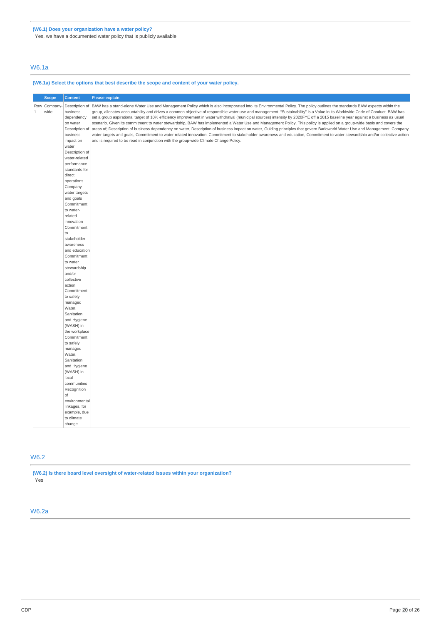Yes, we have a documented water policy that is publicly available

# W6.1a

### **(W6.1a) Select the options that best describe the scope and content of your water policy.**

|       | <b>Scope</b>         | <b>Content</b>                                                                                                                                                                                                                                                                                                                                                                                                                                             | <b>Please explain</b>                                                                                                                                                                                                                                                                                                                                                                                                                                                                                                                                                                                                                                                                                                                                                                                                                                                                                                                                                                                                                                                                                                                                                         |
|-------|----------------------|------------------------------------------------------------------------------------------------------------------------------------------------------------------------------------------------------------------------------------------------------------------------------------------------------------------------------------------------------------------------------------------------------------------------------------------------------------|-------------------------------------------------------------------------------------------------------------------------------------------------------------------------------------------------------------------------------------------------------------------------------------------------------------------------------------------------------------------------------------------------------------------------------------------------------------------------------------------------------------------------------------------------------------------------------------------------------------------------------------------------------------------------------------------------------------------------------------------------------------------------------------------------------------------------------------------------------------------------------------------------------------------------------------------------------------------------------------------------------------------------------------------------------------------------------------------------------------------------------------------------------------------------------|
| $1\,$ | Row Company-<br>wide | Description of<br>business<br>dependency<br>on water<br>Description of<br>business<br>impact on<br>water<br>Description of<br>water-related<br>performance<br>standards for<br>direct<br>operations<br>Company<br>water targets<br>and goals<br>Commitment<br>to water-<br>related<br>innovation<br>Commitment<br>to<br>stakeholder<br>awareness<br>and education<br>Commitment<br>to water<br>stewardship<br>and/or<br>collective<br>action<br>Commitment | BAW has a stand-alone Water Use and Management Policy which is also incorporated into its Environmental Policy. The policy outlines the standards BAW expects within the<br>group, allocates accountability and drives a common objective of responsible water use and management. "Sustainability" is a Value in its Worldwide Code of Conduct. BAW has<br>set a group aspirational target of 10% efficiency improvement in water withdrawal (municipal sources) intensity by 2020FYE off a 2015 baseline year against a business as usual<br>scenario. Given its commitment to water stewardship, BAW has implemented a Water Use and Management Policy. This policy is applied on a group-wide basis and covers the<br>areas of; Description of business dependency on water, Description of business impact on water, Guiding principles that govern Barloworld Water Use and Management, Company<br>water targets and goals, Commitment to water-related innovation, Commitment to stakeholder awareness and education, Commitment to water stewardship and/or collective action<br>and is required to be read in conjunction with the group-wide Climate Change Policy. |
|       |                      |                                                                                                                                                                                                                                                                                                                                                                                                                                                            |                                                                                                                                                                                                                                                                                                                                                                                                                                                                                                                                                                                                                                                                                                                                                                                                                                                                                                                                                                                                                                                                                                                                                                               |
|       |                      | to safely<br>managed<br>Water,                                                                                                                                                                                                                                                                                                                                                                                                                             |                                                                                                                                                                                                                                                                                                                                                                                                                                                                                                                                                                                                                                                                                                                                                                                                                                                                                                                                                                                                                                                                                                                                                                               |
|       |                      | Sanitation<br>and Hygiene<br>(WASH) in<br>the workplace                                                                                                                                                                                                                                                                                                                                                                                                    |                                                                                                                                                                                                                                                                                                                                                                                                                                                                                                                                                                                                                                                                                                                                                                                                                                                                                                                                                                                                                                                                                                                                                                               |
|       |                      | Commitment<br>to safely<br>managed                                                                                                                                                                                                                                                                                                                                                                                                                         |                                                                                                                                                                                                                                                                                                                                                                                                                                                                                                                                                                                                                                                                                                                                                                                                                                                                                                                                                                                                                                                                                                                                                                               |
|       |                      | Water,<br>Sanitation<br>and Hygiene                                                                                                                                                                                                                                                                                                                                                                                                                        |                                                                                                                                                                                                                                                                                                                                                                                                                                                                                                                                                                                                                                                                                                                                                                                                                                                                                                                                                                                                                                                                                                                                                                               |
|       |                      | (WASH) in<br>local<br>communities<br>Recognition                                                                                                                                                                                                                                                                                                                                                                                                           |                                                                                                                                                                                                                                                                                                                                                                                                                                                                                                                                                                                                                                                                                                                                                                                                                                                                                                                                                                                                                                                                                                                                                                               |
|       |                      | of<br>environmental                                                                                                                                                                                                                                                                                                                                                                                                                                        |                                                                                                                                                                                                                                                                                                                                                                                                                                                                                                                                                                                                                                                                                                                                                                                                                                                                                                                                                                                                                                                                                                                                                                               |
|       |                      | linkages, for<br>example, due<br>to climate                                                                                                                                                                                                                                                                                                                                                                                                                |                                                                                                                                                                                                                                                                                                                                                                                                                                                                                                                                                                                                                                                                                                                                                                                                                                                                                                                                                                                                                                                                                                                                                                               |
|       |                      | change                                                                                                                                                                                                                                                                                                                                                                                                                                                     |                                                                                                                                                                                                                                                                                                                                                                                                                                                                                                                                                                                                                                                                                                                                                                                                                                                                                                                                                                                                                                                                                                                                                                               |

# W6.2

**(W6.2) Is there board level oversight of water-related issues within your organization?** Yes

# W6.2a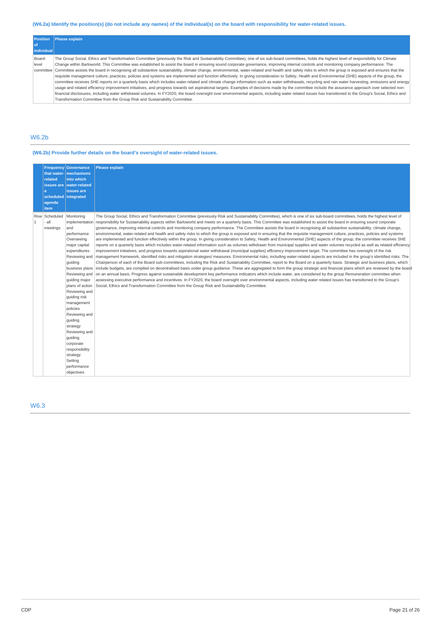# (W6.2a) Identify the position(s) (do not include any names) of the individual(s) on the board with responsibility for water-related issues.

| <b>Position</b> | Please explain                                                                                                                                                                                          |  |  |  |
|-----------------|---------------------------------------------------------------------------------------------------------------------------------------------------------------------------------------------------------|--|--|--|
| <b>ot</b>       |                                                                                                                                                                                                         |  |  |  |
| individual      |                                                                                                                                                                                                         |  |  |  |
| Board-          | The Group Social, Ethics and Transformation Committee (previously the Risk and Sustainability Committee), one of six sub-board committees, holds the highest level of responsibility for Climate        |  |  |  |
| level           | Change within Barloworld. This Committee was established to assist the board in ensuring sound corporate governance, improving internal controls and monitoring company performance. The                |  |  |  |
| committee       | Committee assists the board in recognising all substantive sustainability, climate change, environmental, water-related and health and safety risks to which the group is exposed and ensures that the  |  |  |  |
|                 | requisite management culture, practices, policies and systems are implemented and function effectively. In giving consideration to Safety, Health and Environmental (SHE) aspects of the group, the     |  |  |  |
|                 | committee receives SHE reports on a quarterly basis which includes water-related and climate change information such as water withdrawals, recycling and rain water harvesting, emissions and energy    |  |  |  |
|                 | usage and related efficiency improvement initiatives, and progress towards set aspirational targets. Examples of decisions made by the committee include the assurance approach over selected non-      |  |  |  |
|                 | financial disclosures, including water withdrawal volumes. In FY2020, the board oversight over environmental aspects, including water related issues has transitioned to the Group's Social, Ethics and |  |  |  |
|                 | Transformation Committee from the Group Risk and Sustainability Committee.                                                                                                                              |  |  |  |

# W6.2b

# **(W6.2b) Provide further details on the board's oversight of water-related issues.**

|                       | related<br>la<br>agenda<br><i>item</i> | <b>Frequency Governance</b><br>that water- mechanisms<br>into which<br>issues are water-related<br>issues are<br>scheduled integrated                                                                                                                                                                                                                                                                                  | <b>Please explain</b>                                                                                                                                                                                                                                                                                                                                                                                                                                                                                                                                                                                                                                                                                                                                                                                                                                                                                                                                                                                                                                                                                                                                                                                                                                                                                                                                                                                                                                                                                                                                                                                                                                                                                                                                                                                                                                                                                                                                                                                                                                                                                                                                                                                                                                                                     |
|-----------------------|----------------------------------------|------------------------------------------------------------------------------------------------------------------------------------------------------------------------------------------------------------------------------------------------------------------------------------------------------------------------------------------------------------------------------------------------------------------------|-------------------------------------------------------------------------------------------------------------------------------------------------------------------------------------------------------------------------------------------------------------------------------------------------------------------------------------------------------------------------------------------------------------------------------------------------------------------------------------------------------------------------------------------------------------------------------------------------------------------------------------------------------------------------------------------------------------------------------------------------------------------------------------------------------------------------------------------------------------------------------------------------------------------------------------------------------------------------------------------------------------------------------------------------------------------------------------------------------------------------------------------------------------------------------------------------------------------------------------------------------------------------------------------------------------------------------------------------------------------------------------------------------------------------------------------------------------------------------------------------------------------------------------------------------------------------------------------------------------------------------------------------------------------------------------------------------------------------------------------------------------------------------------------------------------------------------------------------------------------------------------------------------------------------------------------------------------------------------------------------------------------------------------------------------------------------------------------------------------------------------------------------------------------------------------------------------------------------------------------------------------------------------------------|
| Row<br>$\overline{1}$ | Scheduled<br>- all<br>meetings         | Monitoring<br>implementation<br>and<br>performance<br>Overseeing<br>major capital<br>expenditures<br>Reviewing and<br>quiding<br>business plans<br>Reviewing and<br>quiding major<br>plans of action<br>Reviewing and<br>quiding risk<br>management<br>policies<br>Reviewing and<br>guiding<br>strategy<br>Reviewing and<br>quiding<br>corporate<br>responsibility<br>strategy<br>Setting<br>performance<br>objectives | The Group Social, Ethics and Transformation Committee (previously Risk and Sustainability Committee), which is one of six sub-board committees, holds the highest level of<br>responsibility for Sustainability aspects within Barloworld and meets on a quarterly basis. This Committee was established to assist the board in ensuring sound corporate<br>governance, improving internal controls and monitoring company performance. The Committee assists the board in recognising all substantive sustainability, climate change,<br>environmental, water-related and health and safety risks to which the group is exposed and in ensuring that the requisite management culture, practices, policies and systems<br>are implemented and function effectively within the group. In giving consideration to Safety, Health and Environmental (SHE) aspects of the group, the committee receives SHE<br>reports on a quarterly basis which includes water-related information such as volumes withdrawn from municipal supplies and water volumes recycled as well as related efficiency<br>improvement initiatives, and progress towards aspirational water withdrawal (municipal supplies) efficiency improvement target. The committee has oversight of the risk<br>management framework, identified risks and mitigation strategies/ measures. Environmental risks, including water-related aspects are included in the group's identified risks. The<br>Chairperson of each of the Board sub-committees, including the Risk and Sustainability Committee, report to the Board on a quarterly basis. Strategic and business plans, which<br>include budgets, are compiled on decentralised basis under group guidance. These are aggregated to form the group strategic and financial plans which are reviewed by the board<br>on an annual basis. Progress against sustainable development key performance indicators which include water, are considered by the group Remuneration committee when<br>assessing executive performance and incentives. In FY2020, the board oversight over environmental aspects, including water related issues has transitioned to the Group's<br>Social, Ethics and Transformation Committee from the Group Risk and Sustainability Committee. |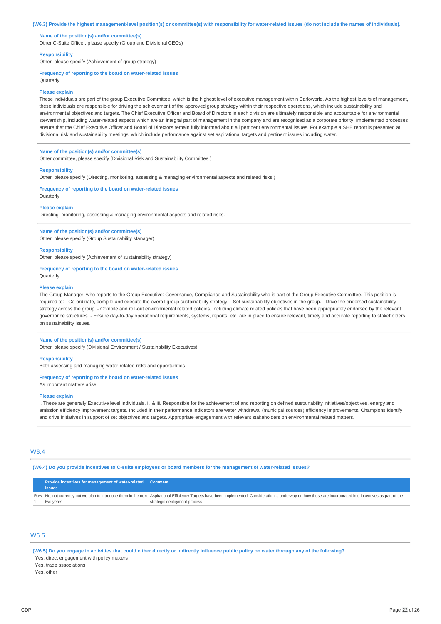#### (W6.3) Provide the highest management-level position(s) or committee(s) with responsibility for water-related issues (do not include the names of individuals).

### **Name of the position(s) and/or committee(s)**

Other C-Suite Officer, please specify (Group and Divisional CEOs)

#### **Responsibility**

Other, please specify (Achievement of group strategy)

#### **Frequency of reporting to the board on water-related issues**

Quarterly

#### **Please explain**

These individuals are part of the group Executive Committee, which is the highest level of executive management within Barloworld. As the highest level/s of management, these individuals are responsible for driving the achievement of the approved group strategy within their respective operations, which include sustainability and environmental objectives and targets. The Chief Executive Officer and Board of Directors in each division are ultimately responsible and accountable for environmental stewardship, including water-related aspects which are an integral part of management in the company and are recognised as a corporate priority. Implemented processes ensure that the Chief Executive Officer and Board of Directors remain fully informed about all pertinent environmental issues. For example a SHE report is presented at divisional risk and sustainability meetings, which include performance against set aspirational targets and pertinent issues including water.

### **Name of the position(s) and/or committee(s)**

Other committee, please specify (Divisional Risk and Sustainability Committee )

#### **Responsibility**

Other, please specify (Directing, monitoring, assessing & managing environmental aspects and related risks.)

**Frequency of reporting to the board on water-related issues Ouarterly** 

#### **Please explain**

Directing, monitoring, assessing & managing environmental aspects and related risks.

# **Name of the position(s) and/or committee(s)**

Other, please specify (Group Sustainability Manager)

## **Responsibility**

Other, please specify (Achievement of sustainability strategy)

### **Frequency of reporting to the board on water-related issues Quarterly**

### **Please explain**

The Group Manager, who reports to the Group Executive: Governance, Compliance and Sustainability who is part of the Group Executive Committee. This position is required to: - Co-ordinate, compile and execute the overall group sustainability strategy. - Set sustainability objectives in the group. - Drive the endorsed sustainability strategy across the group. - Compile and roll-out environmental related policies, including climate related policies that have been appropriately endorsed by the relevant governance structures. - Ensure day-to-day operational requirements, systems, reports, etc. are in place to ensure relevant, timely and accurate reporting to stakeholders on sustainability issues.

### **Name of the position(s) and/or committee(s)**

Other, please specify (Divisional Environment / Sustainability Executives)

#### **Responsibility**

Both assessing and managing water-related risks and opportunities

### **Frequency of reporting to the board on water-related issues**

As important matters arise

#### **Please explain**

i. These are generally Executive level individuals. ii. & iii. Responsible for the achievement of and reporting on defined sustainability initiatives/objectives, energy and emission efficiency improvement targets. Included in their performance indicators are water withdrawal (municipal sources) efficiency improvements. Champions identify and drive initiatives in support of set objectives and targets. Appropriate engagement with relevant stakeholders on environmental related matters.

# W6.4

(W6.4) Do you provide incentives to C-suite employees or board members for the management of water-related issues?

| <b>Provide incentives for management of water-related</b> Comment |                                                                                                                                                                                                               |
|-------------------------------------------------------------------|---------------------------------------------------------------------------------------------------------------------------------------------------------------------------------------------------------------|
| <b>issues</b>                                                     |                                                                                                                                                                                                               |
|                                                                   | Row No, not currently but we plan to introduce them in the next Aspirational Efficiency Targets have been implemented. Consideration is underway on how these are incorporated into incentives as part of the |
| two years                                                         | strategic deployment process.                                                                                                                                                                                 |

## W6.5

(W6.5) Do you engage in activities that could either directly or indirectly influence public policy on water through any of the following?

Yes, direct engagement with policy makers

Yes, trade associations

Yes, other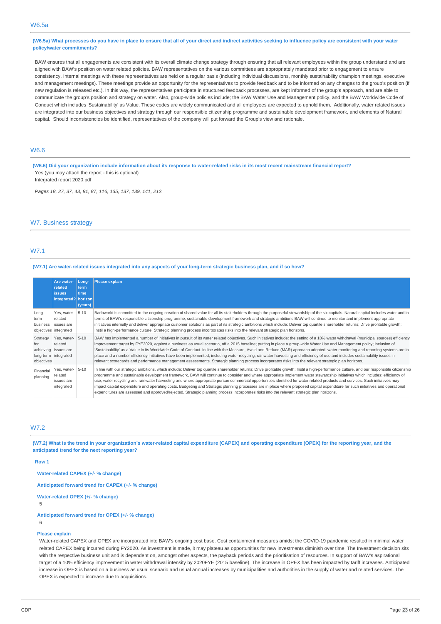(W6.5a) What processes do you have in place to ensure that all of your direct and indirect activities seeking to influence policy are consistent with your water **policy/water commitments?**

BAW ensures that all engagements are consistent with its overall climate change strategy through ensuring that all relevant employees within the group understand and are aligned with BAW's position on water related policies. BAW representatives on the various committees are appropriately mandated prior to engagement to ensure consistency. Internal meetings with these representatives are held on a regular basis (including individual discussions, monthly sustainability champion meetings, executive and management meetings). These meetings provide an opportunity for the representatives to provide feedback and to be informed on any changes to the group's position (if new regulation is released etc.). In this way, the representatives participate in structured feedback processes, are kept informed of the group's approach, and are able to communicate the group's position and strategy on water. Also, group-wide policies include; the BAW Water Use and Management policy, and the BAW Worldwide Code of Conduct which includes 'Sustainability' as Value. These codes are widely communicated and all employees are expected to uphold them. Additionally, water related issues are integrated into our business objectives and strategy through our responsible citizenship programme and sustainable development framework, and elements of Natural capital. Should inconsistencies be identified, representatives of the company will put forward the Group's view and rationale.

# W6.6

(W6.6) Did your organization include information about its response to water-related risks in its most recent mainstream financial report? Yes (you may attach the report - this is optional)

Integrated report 2020.pdf

*Pages 18, 27, 37, 43, 81, 87, 116, 135, 137, 139, 141, 212.*

### W7. Business strategy

### W7.1

### (W7.1) Are water-related issues integrated into any aspects of your long-term strategic business plan, and if so how?

|                               | Are water-<br>related<br><b>issues</b><br>integrated?   horizon          | Long-<br>term<br>time<br>(years) | Please explain                                                                                                                                                                                                                                                                                                                                                                                                                                                                                                                                                                                                                                                                                                                                                                                                                                                                            |
|-------------------------------|--------------------------------------------------------------------------|----------------------------------|-------------------------------------------------------------------------------------------------------------------------------------------------------------------------------------------------------------------------------------------------------------------------------------------------------------------------------------------------------------------------------------------------------------------------------------------------------------------------------------------------------------------------------------------------------------------------------------------------------------------------------------------------------------------------------------------------------------------------------------------------------------------------------------------------------------------------------------------------------------------------------------------|
| Long-<br>term<br>business     | Yes, water-<br>related<br>issues are<br>objectives integrated            | $5 - 10$                         | Barloworld is committed to the ongoing creation of shared value for all its stakeholders through the purposeful stewardship of the six capitals. Natural capital includes water and in<br>terms of BAW's responsible citizenship programme, sustainable development framework and strategic ambitions BAW will continue to monitor and implement appropriate<br>initiatives internally and deliver appropriate customer solutions as part of its strategic ambitions which include: Deliver top quartile shareholder returns; Drive profitable growth;<br>Instil a high-performance culture. Strategic planning process incorporates risks into the relevant strategic plan horizons.                                                                                                                                                                                                     |
| Strategy<br>for<br>objectives | Yes, water-<br>related<br>achieving issues are<br>long-term   integrated | $5 - 10$                         | BAW has implemented a number of initiatives in pursuit of its water related objectives. Such initiatives include: the setting of a 10% water withdrawal (municipal sources) efficiency<br>improvement target by FYE2020, against a business as usual scenario, off a 2015 baseline; putting in place a group-wide Water Use and Management policy; inclusion of<br>'Sustainability' as a Value in its Worldwide Code of Conduct. In line with the Measure, Avoid and Reduce (MAR) approach adopted, water monitoring and reporting systems are in<br>place and a number efficiency initiatives have been implemented, including water recycling, rainwater harvesting and efficiency of use and includes sustainability issues in<br>relevant scorecards and performance management assessments. Strategic planning process incorporates risks into the relevant strategic plan horizons. |
| Financial<br>planning         | Yes, water-<br>related<br>issues are<br>integrated                       | $5 - 10$                         | In line with our strategic ambitions, which include: Deliver top quartile shareholder returns; Drive profitable growth; Instil a high-performance culture, and our responsible citizenship<br>programme and sustainable development framework, BAW will continue to consider and where appropriate implement water stewardship initiatives which includes: efficiency of<br>use, water recycling and rainwater harvesting and where appropriate pursue commercial opportunities identified for water related products and services. Such initiatives may<br>impact capital expenditure and operating costs. Budgeting and Strategic planning processes are in place where proposed capital expenditure for such initiatives and operational<br>expenditures are assessed and approved/rejected. Strategic planning process incorporates risks into the relevant strategic plan horizons.  |

### W<sub>72</sub>

(W7.2) What is the trend in your organization's water-related capital expenditure (CAPEX) and operating expenditure (OPEX) for the reporting year, and the **anticipated trend for the next reporting year?**

**Row 1**

**Water-related CAPEX (+/- % change)**

**Anticipated forward trend for CAPEX (+/- % change)**

**Water-related OPEX (+/- % change)**

5

**Anticipated forward trend for OPEX (+/- % change)**

6

#### **Please explain**

Water-related CAPEX and OPEX are incorporated into BAW's ongoing cost base. Cost containment measures amidst the COVID-19 pandemic resulted in minimal water related CAPEX being incurred during FY2020. As investment is made, it may plateau as opportunities for new investments diminish over time. The Investment decision sits with the respective business unit and is dependent on, amongst other aspects, the payback periods and the prioritisation of resources. In support of BAW's aspirational target of a 10% efficiency improvement in water withdrawal intensity by 2020FYE (2015 baseline). The increase in OPEX has been impacted by tariff increases. Anticipated increase in OPEX is based on a business as usual scenario and usual annual increases by municipalities and authorities in the supply of water and related services. The OPEX is expected to increase due to acquisitions.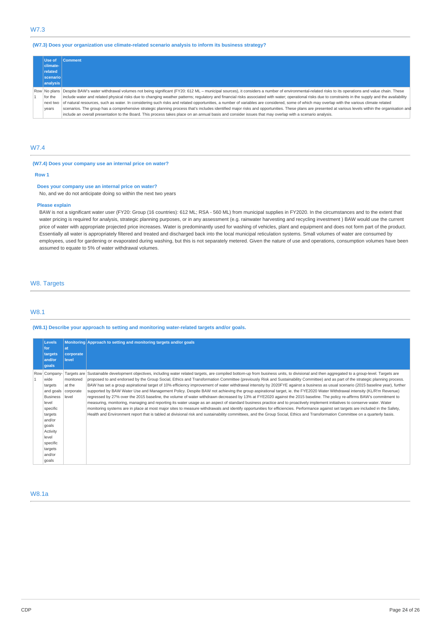# W7.3

### **(W7.3) Does your organization use climate-related scenario analysis to inform its business strategy?**

| Use of   | <b>Comment</b>                                                                                                                                                                                              |
|----------|-------------------------------------------------------------------------------------------------------------------------------------------------------------------------------------------------------------|
| climate- |                                                                                                                                                                                                             |
| related  |                                                                                                                                                                                                             |
| scenario |                                                                                                                                                                                                             |
| analysis |                                                                                                                                                                                                             |
|          | Row No plans Despite BAW's water withdrawal volumes not being significant (FY20: 612 ML - municipal sources), it considers a number of environmental-related risks to its operations and value chain. These |
| for the  | include water and related physical risks due to changing weather patterns; regulatory and financial risks associated with water; operational risks due to constraints in the supply and the availability    |
|          | next two   of natural resources, such as water. In considering such risks and related opportunities, a number of variables are considered, some of which may overlap with the various climate related       |
| years    | scenarios. The group has a comprehensive strategic planning process that's includes identified major risks and opportunities. These plans are presented at various levels within the organisation and       |
|          | include an overall presentation to the Board. This process takes place on an annual basis and consider issues that may overlap with a scenario analysis.                                                    |

# W7.4

### **(W7.4) Does your company use an internal price on water?**

### **Row 1**

### **Does your company use an internal price on water?**

No, and we do not anticipate doing so within the next two years

### **Please explain**

BAW is not a significant water user (FY20: Group (16 countries): 612 ML; RSA - 560 ML) from municipal supplies in FY2020. In the circumstances and to the extent that water pricing is required for analysis, strategic planning purposes, or in any assessment (e.g. rainwater harvesting and recycling investment ) BAW would use the current price of water with appropriate projected price increases. Water is predominantly used for washing of vehicles, plant and equipment and does not form part of the product. Essentially all water is appropriately filtered and treated and discharged back into the local municipal reticulation systems. Small volumes of water are consumed by employees, used for gardening or evaporated during washing, but this is not separately metered. Given the nature of use and operations, consumption volumes have been assumed to equate to 5% of water withdrawal volumes.

## W8. Targets

# W8.1

### **(W8.1) Describe your approach to setting and monitoring water-related targets and/or goals.**

|  | Levels<br>for                                                                                                                                                                       | lat                                       | Monitoring Approach to setting and monitoring targets and/or goals                                                                                                                                                                                                                                                                                                                                                                                                                                                                                                                                                                                                                                                                                                                                                                                                                                                                                                                                                                                                                                                                                                                                                                                                                                                                                                                                                                                                               |
|--|-------------------------------------------------------------------------------------------------------------------------------------------------------------------------------------|-------------------------------------------|----------------------------------------------------------------------------------------------------------------------------------------------------------------------------------------------------------------------------------------------------------------------------------------------------------------------------------------------------------------------------------------------------------------------------------------------------------------------------------------------------------------------------------------------------------------------------------------------------------------------------------------------------------------------------------------------------------------------------------------------------------------------------------------------------------------------------------------------------------------------------------------------------------------------------------------------------------------------------------------------------------------------------------------------------------------------------------------------------------------------------------------------------------------------------------------------------------------------------------------------------------------------------------------------------------------------------------------------------------------------------------------------------------------------------------------------------------------------------------|
|  | targets<br>and/or                                                                                                                                                                   | corporate<br>level                        |                                                                                                                                                                                                                                                                                                                                                                                                                                                                                                                                                                                                                                                                                                                                                                                                                                                                                                                                                                                                                                                                                                                                                                                                                                                                                                                                                                                                                                                                                  |
|  | goals                                                                                                                                                                               |                                           |                                                                                                                                                                                                                                                                                                                                                                                                                                                                                                                                                                                                                                                                                                                                                                                                                                                                                                                                                                                                                                                                                                                                                                                                                                                                                                                                                                                                                                                                                  |
|  | Row   Company-<br>wide<br>targets<br>and goals<br><b>Business</b><br>level<br>specific<br>targets<br>and/or<br>goals<br>Activity<br>level<br>specific<br>targets<br>and/or<br>goals | monitored<br>at the<br>corporate<br>level | Targets are Sustainable development objectives, including water related targets, are compiled bottom-up from business units, to divisional and then aggregated to a group-level. Targets are<br>proposed to and endorsed by the Group Social, Ethics and Transformation Committee (previously Risk and Sustainability Committee) and as part of the strategic planning process.<br>BAW has set a group aspirational target of 10% efficiency improvement of water withdrawal intensity by 2020FYE against a business as usual scenario (2015 baseline year), further<br>supported by BAW Water Use and Management Policy. Despite BAW not achieving the group aspirational target, ie. the FYE2020 Water Withdrawal intensity (KL/R'm Revenue)<br>regressed by 27% over the 2015 baseline, the volume of water withdrawn decreased by 13% at FYE2020 against the 2015 baseline. The policy re-affirms BAW's commitment to<br>measuring, monitoring, managing and reporting its water usage as an aspect of standard business practice and to proactively implement initiatives to conserve water. Water<br>monitoring systems are in place at most major sites to measure withdrawals and identify opportunities for efficiencies. Performance against set targets are included in the Safety,<br>Health and Environment report that is tabled at divisional risk and sustainability committees, and the Group Social, Ethics and Transformation Committee on a quarterly basis. |

# W8.1a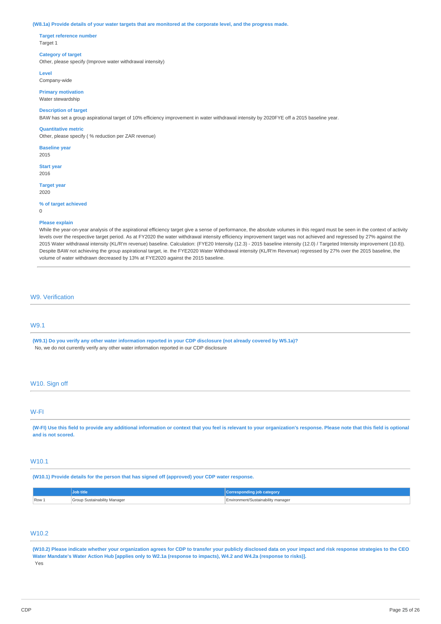#### (W8.1a) Provide details of your water targets that are monitored at the corporate level, and the progress made.

**Target reference number** Target 1

### **Category of target**

Other, please specify (Improve water withdrawal intensity)

**Level**

Company-wide

**Primary motivation** Water stewardship

### **Description of target**

BAW has set a group aspirational target of 10% efficiency improvement in water withdrawal intensity by 2020FYE off a 2015 baseline year.

#### **Quantitative metric**

Other, please specify ( % reduction per ZAR revenue)

**Baseline year**

2015

**Start year** 2016

**Target year** 2020

### **% of target achieved**

 $\Omega$ 

### **Please explain**

While the year-on-year analysis of the aspirational efficiency target give a sense of performance, the absolute volumes in this regard must be seen in the context of activity levels over the respective target period. As at FY2020 the water withdrawal intensity efficiency improvement target was not achieved and regressed by 27% against the 2015 Water withdrawal intensity (KL/R'm revenue) baseline. Calculation: (FYE20 Intensity (12.3) - 2015 baseline intensity (12.0) / Targeted Intensity improvement (10.8)). Despite BAW not achieving the group aspirational target, ie. the FYE2020 Water Withdrawal intensity (KL/R'm Revenue) regressed by 27% over the 2015 baseline, the volume of water withdrawn decreased by 13% at FYE2020 against the 2015 baseline.

### W9. Verification

# W9.1

(W9.1) Do you verify any other water information reported in your CDP disclosure (not already covered by W5.1a)? No, we do not currently verify any other water information reported in our CDP disclosure

## W10. Sign off

### W-FI

(W-FI) Use this field to provide any additional information or context that you feel is relevant to your organization's response. Please note that this field is optional **and is not scored.**

### W10.1

**(W10.1) Provide details for the person that has signed off (approved) your CDP water response.**

|       | Job title                                | <b>Corresponding job category</b>  |
|-------|------------------------------------------|------------------------------------|
| Row 1 | <b>Group Sustainability Manager</b><br>. | Environment/Sustainability manager |

# W<sub>10.2</sub>

(W10.2) Please indicate whether your organization agrees for CDP to transfer your publicly disclosed data on your impact and risk response strategies to the CEO Water Mandate's Water Action Hub [applies only to W2.1a (response to impacts), W4.2 and W4.2a (response to risks)]. Yes